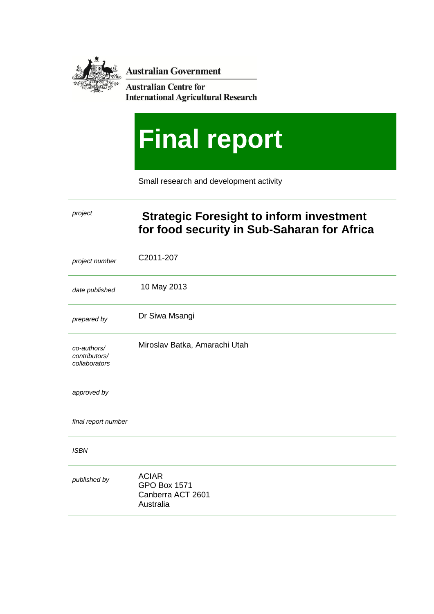

**Australian Government** 

**Australian Centre for International Agricultural Research** 

# **Final report**

Small research and development activity

| project                                       | <b>Strategic Foresight to inform investment</b><br>for food security in Sub-Saharan for Africa |
|-----------------------------------------------|------------------------------------------------------------------------------------------------|
| project number                                | C2011-207                                                                                      |
| date published                                | 10 May 2013                                                                                    |
| prepared by                                   | Dr Siwa Msangi                                                                                 |
| co-authors/<br>contributors/<br>collaborators | Miroslav Batka, Amarachi Utah                                                                  |
| approved by                                   |                                                                                                |
| final report number                           |                                                                                                |
| <b>ISBN</b>                                   |                                                                                                |
| published by                                  | <b>ACIAR</b><br><b>GPO Box 1571</b><br>Canberra ACT 2601<br>Australia                          |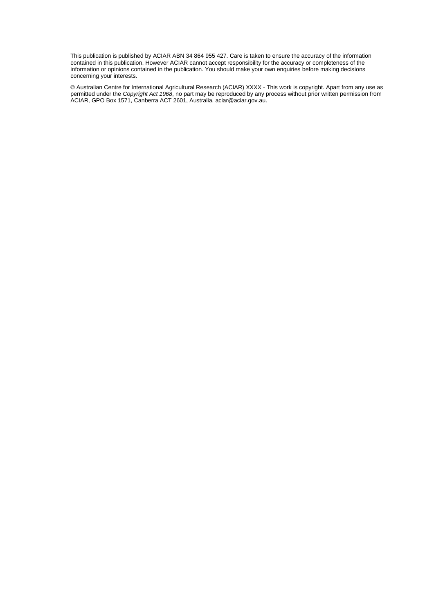This publication is published by ACIAR ABN 34 864 955 427. Care is taken to ensure the accuracy of the information contained in this publication. However ACIAR cannot accept responsibility for the accuracy or completeness of the information or opinions contained in the publication. You should make your own enquiries before making decisions concerning your interests.

© Australian Centre for International Agricultural Research (ACIAR) XXXX - This work is copyright. Apart from any use as permitted under the *Copyright Act 1968*, no part may be reproduced by any process without prior written permission from ACIAR, GPO Box 1571, Canberra ACT 2601, Australia, aciar@aciar.gov.au.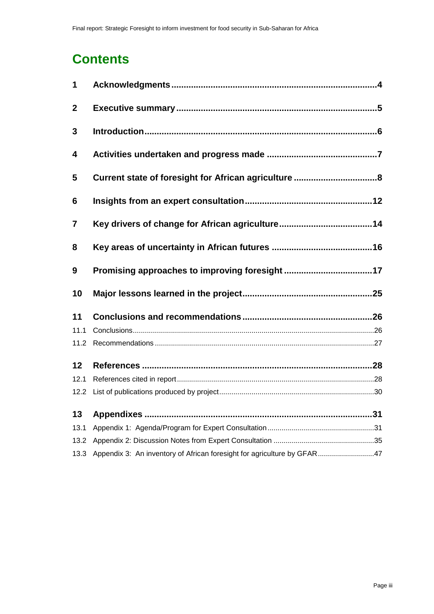# **Contents**

| 1              |                                                |  |
|----------------|------------------------------------------------|--|
| $\overline{2}$ |                                                |  |
| 3              |                                                |  |
| 4              |                                                |  |
| 5              |                                                |  |
| 6              |                                                |  |
| $\overline{7}$ |                                                |  |
| 8              |                                                |  |
| 9              | Promising approaches to improving foresight 17 |  |
| 10             |                                                |  |
| 11             |                                                |  |
| 11.1           |                                                |  |
| 11.2           |                                                |  |
| 12             |                                                |  |
| 12.1           |                                                |  |
| 12.2           |                                                |  |
| 13             |                                                |  |
| 13.1           |                                                |  |
| 13.2           |                                                |  |
|                |                                                |  |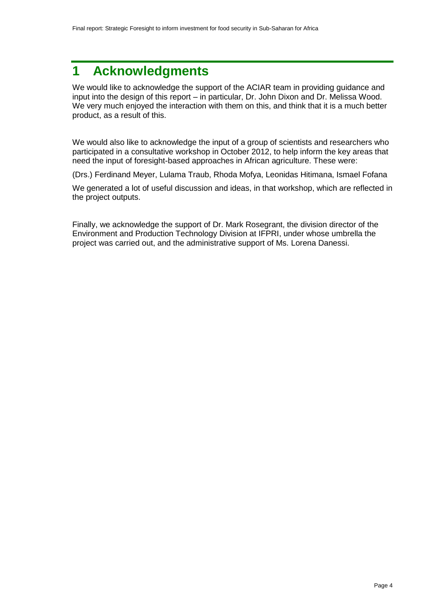# <span id="page-3-0"></span>**1 Acknowledgments**

We would like to acknowledge the support of the ACIAR team in providing guidance and input into the design of this report – in particular, Dr. John Dixon and Dr. Melissa Wood. We very much enjoyed the interaction with them on this, and think that it is a much better product, as a result of this.

We would also like to acknowledge the input of a group of scientists and researchers who participated in a consultative workshop in October 2012, to help inform the key areas that need the input of foresight-based approaches in African agriculture. These were:

(Drs.) Ferdinand Meyer, Lulama Traub, Rhoda Mofya, Leonidas Hitimana, Ismael Fofana

We generated a lot of useful discussion and ideas, in that workshop, which are reflected in the project outputs.

Finally, we acknowledge the support of Dr. Mark Rosegrant, the division director of the Environment and Production Technology Division at IFPRI, under whose umbrella the project was carried out, and the administrative support of Ms. Lorena Danessi.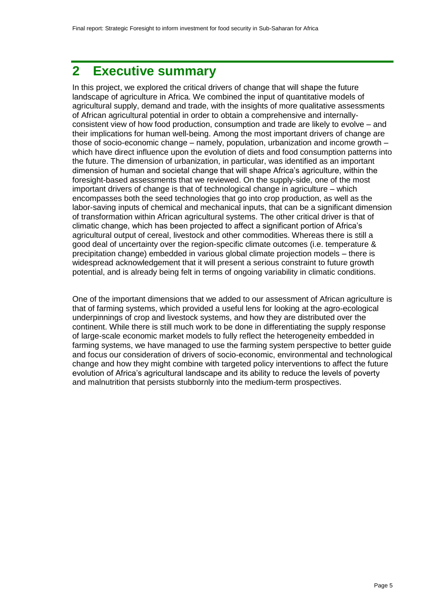# <span id="page-4-0"></span>**2 Executive summary**

In this project, we explored the critical drivers of change that will shape the future landscape of agriculture in Africa. We combined the input of quantitative models of agricultural supply, demand and trade, with the insights of more qualitative assessments of African agricultural potential in order to obtain a comprehensive and internallyconsistent view of how food production, consumption and trade are likely to evolve – and their implications for human well-being. Among the most important drivers of change are those of socio-economic change – namely, population, urbanization and income growth – which have direct influence upon the evolution of diets and food consumption patterns into the future. The dimension of urbanization, in particular, was identified as an important dimension of human and societal change that will shape Africa's agriculture, within the foresight-based assessments that we reviewed. On the supply-side, one of the most important drivers of change is that of technological change in agriculture – which encompasses both the seed technologies that go into crop production, as well as the labor-saving inputs of chemical and mechanical inputs, that can be a significant dimension of transformation within African agricultural systems. The other critical driver is that of climatic change, which has been projected to affect a significant portion of Africa's agricultural output of cereal, livestock and other commodities. Whereas there is still a good deal of uncertainty over the region-specific climate outcomes (i.e. temperature & precipitation change) embedded in various global climate projection models – there is widespread acknowledgement that it will present a serious constraint to future growth potential, and is already being felt in terms of ongoing variability in climatic conditions.

One of the important dimensions that we added to our assessment of African agriculture is that of farming systems, which provided a useful lens for looking at the agro-ecological underpinnings of crop and livestock systems, and how they are distributed over the continent. While there is still much work to be done in differentiating the supply response of large-scale economic market models to fully reflect the heterogeneity embedded in farming systems, we have managed to use the farming system perspective to better guide and focus our consideration of drivers of socio-economic, environmental and technological change and how they might combine with targeted policy interventions to affect the future evolution of Africa's agricultural landscape and its ability to reduce the levels of poverty and malnutrition that persists stubbornly into the medium-term prospectives.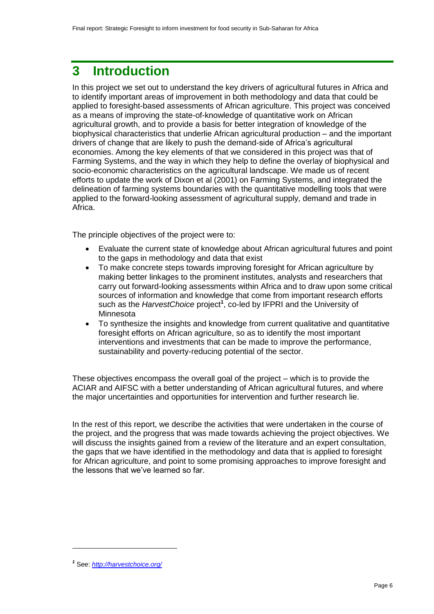# <span id="page-5-0"></span>**3 Introduction**

In this project we set out to understand the key drivers of agricultural futures in Africa and to identify important areas of improvement in both methodology and data that could be applied to foresight-based assessments of African agriculture. This project was conceived as a means of improving the state-of-knowledge of quantitative work on African agricultural growth, and to provide a basis for better integration of knowledge of the biophysical characteristics that underlie African agricultural production – and the important drivers of change that are likely to push the demand-side of Africa's agricultural economies. Among the key elements of that we considered in this project was that of Farming Systems, and the way in which they help to define the overlay of biophysical and socio-economic characteristics on the agricultural landscape. We made us of recent efforts to update the work of Dixon et al (2001) on Farming Systems, and integrated the delineation of farming systems boundaries with the quantitative modelling tools that were applied to the forward-looking assessment of agricultural supply, demand and trade in Africa.

The principle objectives of the project were to:

- Evaluate the current state of knowledge about African agricultural futures and point to the gaps in methodology and data that exist
- To make concrete steps towards improving foresight for African agriculture by making better linkages to the prominent institutes, analysts and researchers that carry out forward-looking assessments within Africa and to draw upon some critical sources of information and knowledge that come from important research efforts such as the *HarvestChoice* project**<sup>1</sup>** , co-led by IFPRI and the University of Minnesota
- To synthesize the insights and knowledge from current qualitative and quantitative foresight efforts on African agriculture, so as to identify the most important interventions and investments that can be made to improve the performance, sustainability and poverty-reducing potential of the sector.

These objectives encompass the overall goal of the project – which is to provide the ACIAR and AIFSC with a better understanding of African agricultural futures, and where the major uncertainties and opportunities for intervention and further research lie.

In the rest of this report, we describe the activities that were undertaken in the course of the project, and the progress that was made towards achieving the project objectives. We will discuss the insights gained from a review of the literature and an expert consultation, the gaps that we have identified in the methodology and data that is applied to foresight for African agriculture, and point to some promising approaches to improve foresight and the lessons that we've learned so far.

*<sup>1</sup>* See: *<http://harvestchoice.org/>*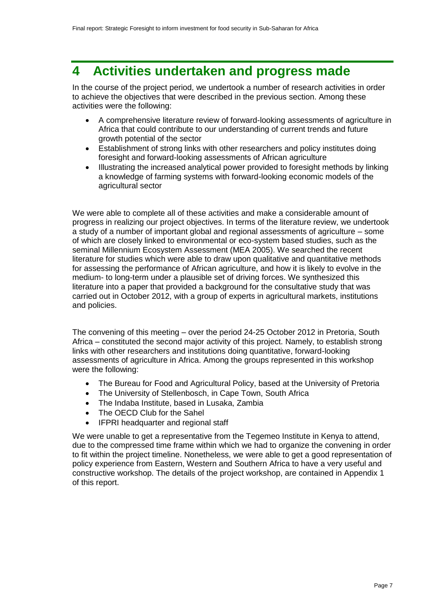# <span id="page-6-0"></span>**4 Activities undertaken and progress made**

In the course of the project period, we undertook a number of research activities in order to achieve the objectives that were described in the previous section. Among these activities were the following:

- A comprehensive literature review of forward-looking assessments of agriculture in Africa that could contribute to our understanding of current trends and future growth potential of the sector
- Establishment of strong links with other researchers and policy institutes doing foresight and forward-looking assessments of African agriculture
- Illustrating the increased analytical power provided to foresight methods by linking a knowledge of farming systems with forward-looking economic models of the agricultural sector

We were able to complete all of these activities and make a considerable amount of progress in realizing our project objectives. In terms of the literature review, we undertook a study of a number of important global and regional assessments of agriculture – some of which are closely linked to environmental or eco-system based studies, such as the seminal Millennium Ecosystem Assessment (MEA 2005). We searched the recent literature for studies which were able to draw upon qualitative and quantitative methods for assessing the performance of African agriculture, and how it is likely to evolve in the medium- to long-term under a plausible set of driving forces. We synthesized this literature into a paper that provided a background for the consultative study that was carried out in October 2012, with a group of experts in agricultural markets, institutions and policies.

The convening of this meeting – over the period 24-25 October 2012 in Pretoria, South Africa – constituted the second major activity of this project. Namely, to establish strong links with other researchers and institutions doing quantitative, forward-looking assessments of agriculture in Africa. Among the groups represented in this workshop were the following:

- The Bureau for Food and Agricultural Policy, based at the University of Pretoria
- The University of Stellenbosch, in Cape Town, South Africa
- The Indaba Institute, based in Lusaka, Zambia
- The OECD Club for the Sahel
- IFPRI headquarter and regional staff

We were unable to get a representative from the Tegemeo Institute in Kenya to attend, due to the compressed time frame within which we had to organize the convening in order to fit within the project timeline. Nonetheless, we were able to get a good representation of policy experience from Eastern, Western and Southern Africa to have a very useful and constructive workshop. The details of the project workshop, are contained in Appendix 1 of this report.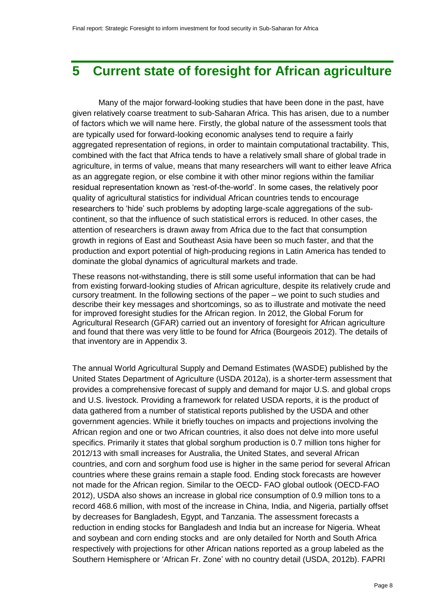# <span id="page-7-0"></span>**5 Current state of foresight for African agriculture**

Many of the major forward-looking studies that have been done in the past, have given relatively coarse treatment to sub-Saharan Africa. This has arisen, due to a number of factors which we will name here. Firstly, the global nature of the assessment tools that are typically used for forward-looking economic analyses tend to require a fairly aggregated representation of regions, in order to maintain computational tractability. This, combined with the fact that Africa tends to have a relatively small share of global trade in agriculture, in terms of value, means that many researchers will want to either leave Africa as an aggregate region, or else combine it with other minor regions within the familiar residual representation known as 'rest-of-the-world'. In some cases, the relatively poor quality of agricultural statistics for individual African countries tends to encourage researchers to 'hide' such problems by adopting large-scale aggregations of the subcontinent, so that the influence of such statistical errors is reduced. In other cases, the attention of researchers is drawn away from Africa due to the fact that consumption growth in regions of East and Southeast Asia have been so much faster, and that the production and export potential of high-producing regions in Latin America has tended to dominate the global dynamics of agricultural markets and trade.

These reasons not-withstanding, there is still some useful information that can be had from existing forward-looking studies of African agriculture, despite its relatively crude and cursory treatment. In the following sections of the paper – we point to such studies and describe their key messages and shortcomings, so as to illustrate and motivate the need for improved foresight studies for the African region. In 2012, the Global Forum for Agricultural Research (GFAR) carried out an inventory of foresight for African agriculture and found that there was very little to be found for Africa (Bourgeois 2012). The details of that inventory are in Appendix 3.

The annual World Agricultural Supply and Demand Estimates (WASDE) published by the United States Department of Agriculture (USDA 2012a), is a shorter-term assessment that provides a comprehensive forecast of supply and demand for major U.S. and global crops and U.S. livestock. Providing a framework for related USDA reports, it is the product of data gathered from a number of statistical reports published by the USDA and other government agencies. While it briefly touches on impacts and projections involving the African region and one or two African countries, it also does not delve into more useful specifics. Primarily it states that global sorghum production is 0.7 million tons higher for 2012/13 with small increases for Australia, the United States, and several African countries, and corn and sorghum food use is higher in the same period for several African countries where these grains remain a staple food. Ending stock forecasts are however not made for the African region. Similar to the OECD- FAO global outlook (OECD-FAO 2012), USDA also shows an increase in global rice consumption of 0.9 million tons to a record 468.6 million, with most of the increase in China, India, and Nigeria, partially offset by decreases for Bangladesh, Egypt, and Tanzania. The assessment forecasts a reduction in ending stocks for Bangladesh and India but an increase for Nigeria. Wheat and soybean and corn ending stocks and are only detailed for North and South Africa respectively with projections for other African nations reported as a group labeled as the Southern Hemisphere or 'African Fr. Zone' with no country detail (USDA, 2012b). FAPRI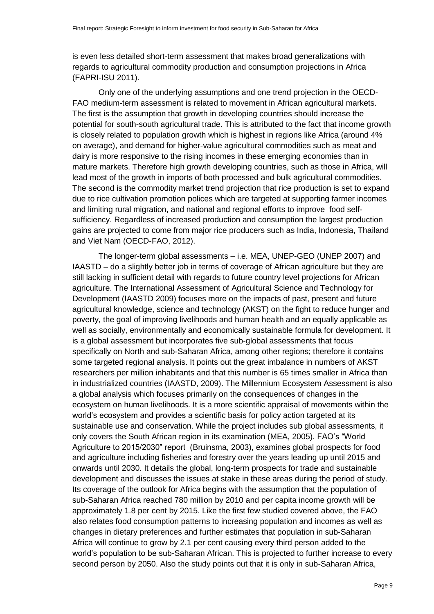is even less detailed short-term assessment that makes broad generalizations with regards to agricultural commodity production and consumption projections in Africa (FAPRI-ISU 2011).

Only one of the underlying assumptions and one trend projection in the OECD-FAO medium-term assessment is related to movement in African agricultural markets. The first is the assumption that growth in developing countries should increase the potential for south-south agricultural trade. This is attributed to the fact that income growth is closely related to population growth which is highest in regions like Africa (around 4% on average), and demand for higher-value agricultural commodities such as meat and dairy is more responsive to the rising incomes in these emerging economies than in mature markets. Therefore high growth developing countries, such as those in Africa, will lead most of the growth in imports of both processed and bulk agricultural commodities. The second is the commodity market trend projection that rice production is set to expand due to rice cultivation promotion polices which are targeted at supporting farmer incomes and limiting rural migration, and national and regional efforts to improve food selfsufficiency. Regardless of increased production and consumption the largest production gains are projected to come from major rice producers such as India, Indonesia, Thailand and Viet Nam (OECD-FAO, 2012).

The longer-term global assessments – i.e. MEA, UNEP-GEO (UNEP 2007) and IAASTD – do a slightly better job in terms of coverage of African agriculture but they are still lacking in sufficient detail with regards to future country level projections for African agriculture. The International Assessment of Agricultural Science and Technology for Development (IAASTD 2009) focuses more on the impacts of past, present and future agricultural knowledge, science and technology (AKST) on the fight to reduce hunger and poverty, the goal of improving livelihoods and human health and an equally applicable as well as socially, environmentally and economically sustainable formula for development. It is a global assessment but incorporates five sub-global assessments that focus specifically on North and sub-Saharan Africa, among other regions; therefore it contains some targeted regional analysis. It points out the great imbalance in numbers of AKST researchers per million inhabitants and that this number is 65 times smaller in Africa than in industrialized countries (IAASTD, 2009). The Millennium Ecosystem Assessment is also a global analysis which focuses primarily on the consequences of changes in the ecosystem on human livelihoods. It is a more scientific appraisal of movements within the world's ecosystem and provides a scientific basis for policy action targeted at its sustainable use and conservation. While the project includes sub global assessments, it only covers the South African region in its examination (MEA, 2005). FAO's "World Agriculture to 2015/2030" report (Bruinsma, 2003), examines global prospects for food and agriculture including fisheries and forestry over the years leading up until 2015 and onwards until 2030. It details the global, long-term prospects for trade and sustainable development and discusses the issues at stake in these areas during the period of study. Its coverage of the outlook for Africa begins with the assumption that the population of sub-Saharan Africa reached 780 million by 2010 and per capita income growth will be approximately 1.8 per cent by 2015. Like the first few studied covered above, the FAO also relates food consumption patterns to increasing population and incomes as well as changes in dietary preferences and further estimates that population in sub-Saharan Africa will continue to grow by 2.1 per cent causing every third person added to the world's population to be sub-Saharan African. This is projected to further increase to every second person by 2050. Also the study points out that it is only in sub-Saharan Africa,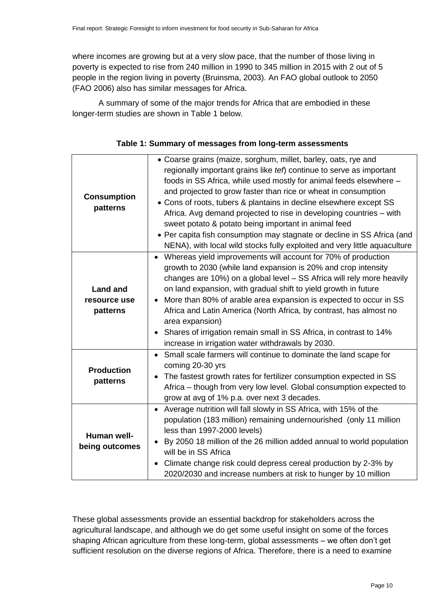where incomes are growing but at a very slow pace, that the number of those living in poverty is expected to rise from 240 million in 1990 to 345 million in 2015 with 2 out of 5 people in the region living in poverty (Bruinsma, 2003). An FAO global outlook to 2050 (FAO 2006) also has similar messages for Africa.

A summary of some of the major trends for Africa that are embodied in these longer-term studies are shown in Table 1 below.

| <b>Consumption</b><br>patterns              | • Coarse grains (maize, sorghum, millet, barley, oats, rye and<br>regionally important grains like tef) continue to serve as important<br>foods in SS Africa, while used mostly for animal feeds elsewhere -<br>and projected to grow faster than rice or wheat in consumption<br>• Cons of roots, tubers & plantains in decline elsewhere except SS<br>Africa. Avg demand projected to rise in developing countries - with<br>sweet potato & potato being important in animal feed<br>• Per capita fish consumption may stagnate or decline in SS Africa (and<br>NENA), with local wild stocks fully exploited and very little aquaculture |  |  |
|---------------------------------------------|---------------------------------------------------------------------------------------------------------------------------------------------------------------------------------------------------------------------------------------------------------------------------------------------------------------------------------------------------------------------------------------------------------------------------------------------------------------------------------------------------------------------------------------------------------------------------------------------------------------------------------------------|--|--|
| <b>Land and</b><br>resource use<br>patterns | Whereas yield improvements will account for 70% of production<br>$\bullet$<br>growth to 2030 (while land expansion is 20% and crop intensity<br>changes are 10%) on a global level - SS Africa will rely more heavily<br>on land expansion, with gradual shift to yield growth in future<br>More than 80% of arable area expansion is expected to occur in SS<br>$\bullet$<br>Africa and Latin America (North Africa, by contrast, has almost no<br>area expansion)<br>Shares of irrigation remain small in SS Africa, in contrast to 14%<br>increase in irrigation water withdrawals by 2030.                                              |  |  |
| <b>Production</b><br>patterns               | Small scale farmers will continue to dominate the land scape for<br>$\bullet$<br>coming 20-30 yrs<br>The fastest growth rates for fertilizer consumption expected in SS<br>$\bullet$<br>Africa - though from very low level. Global consumption expected to<br>grow at avg of 1% p.a. over next 3 decades.                                                                                                                                                                                                                                                                                                                                  |  |  |
| <b>Human well-</b><br>being outcomes        | Average nutrition will fall slowly in SS Africa, with 15% of the<br>$\bullet$<br>population (183 million) remaining undernourished (only 11 million<br>less than 1997-2000 levels)<br>By 2050 18 million of the 26 million added annual to world population<br>$\bullet$<br>will be in SS Africa<br>Climate change risk could depress cereal production by 2-3% by<br>$\bullet$<br>2020/2030 and increase numbers at risk to hunger by 10 million                                                                                                                                                                                           |  |  |

## **Table 1: Summary of messages from long-term assessments**

These global assessments provide an essential backdrop for stakeholders across the agricultural landscape, and although we do get some useful insight on some of the forces shaping African agriculture from these long-term, global assessments – we often don't get sufficient resolution on the diverse regions of Africa. Therefore, there is a need to examine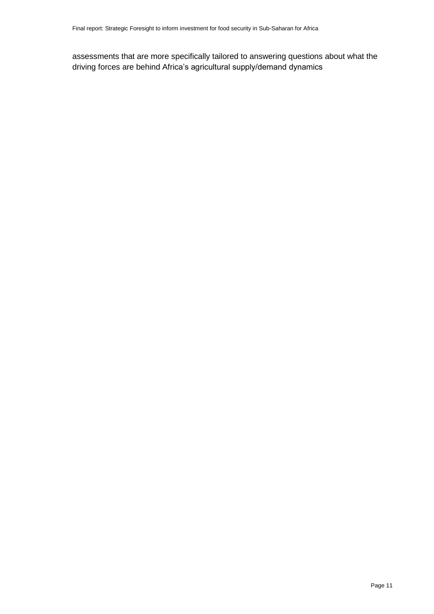assessments that are more specifically tailored to answering questions about what the driving forces are behind Africa's agricultural supply/demand dynamics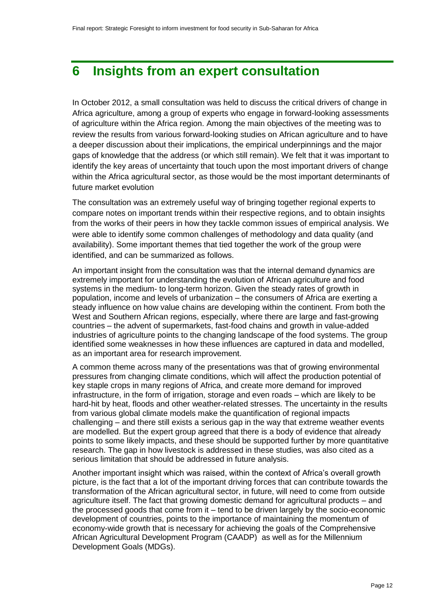# <span id="page-11-0"></span>**6 Insights from an expert consultation**

In October 2012, a small consultation was held to discuss the critical drivers of change in Africa agriculture, among a group of experts who engage in forward-looking assessments of agriculture within the Africa region. Among the main objectives of the meeting was to review the results from various forward-looking studies on African agriculture and to have a deeper discussion about their implications, the empirical underpinnings and the major gaps of knowledge that the address (or which still remain). We felt that it was important to identify the key areas of uncertainty that touch upon the most important drivers of change within the Africa agricultural sector, as those would be the most important determinants of future market evolution

The consultation was an extremely useful way of bringing together regional experts to compare notes on important trends within their respective regions, and to obtain insights from the works of their peers in how they tackle common issues of empirical analysis. We were able to identify some common challenges of methodology and data quality (and availability). Some important themes that tied together the work of the group were identified, and can be summarized as follows.

An important insight from the consultation was that the internal demand dynamics are extremely important for understanding the evolution of African agriculture and food systems in the medium- to long-term horizon. Given the steady rates of growth in population, income and levels of urbanization – the consumers of Africa are exerting a steady influence on how value chains are developing within the continent. From both the West and Southern African regions, especially, where there are large and fast-growing countries – the advent of supermarkets, fast-food chains and growth in value-added industries of agriculture points to the changing landscape of the food systems. The group identified some weaknesses in how these influences are captured in data and modelled, as an important area for research improvement.

A common theme across many of the presentations was that of growing environmental pressures from changing climate conditions, which will affect the production potential of key staple crops in many regions of Africa, and create more demand for improved infrastructure, in the form of irrigation, storage and even roads – which are likely to be hard-hit by heat, floods and other weather-related stresses. The uncertainty in the results from various global climate models make the quantification of regional impacts challenging – and there still exists a serious gap in the way that extreme weather events are modelled. But the expert group agreed that there is a body of evidence that already points to some likely impacts, and these should be supported further by more quantitative research. The gap in how livestock is addressed in these studies, was also cited as a serious limitation that should be addressed in future analysis.

Another important insight which was raised, within the context of Africa's overall growth picture, is the fact that a lot of the important driving forces that can contribute towards the transformation of the African agricultural sector, in future, will need to come from outside agriculture itself. The fact that growing domestic demand for agricultural products – and the processed goods that come from it – tend to be driven largely by the socio-economic development of countries, points to the importance of maintaining the momentum of economy-wide growth that is necessary for achieving the goals of the Comprehensive African Agricultural Development Program (CAADP) as well as for the Millennium Development Goals (MDGs).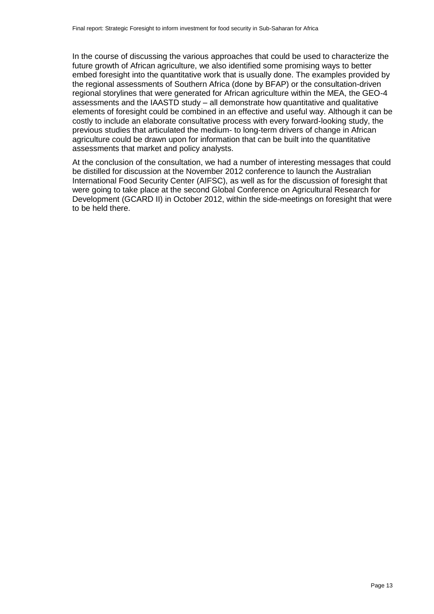In the course of discussing the various approaches that could be used to characterize the future growth of African agriculture, we also identified some promising ways to better embed foresight into the quantitative work that is usually done. The examples provided by the regional assessments of Southern Africa (done by BFAP) or the consultation-driven regional storylines that were generated for African agriculture within the MEA, the GEO-4 assessments and the IAASTD study – all demonstrate how quantitative and qualitative elements of foresight could be combined in an effective and useful way. Although it can be costly to include an elaborate consultative process with every forward-looking study, the previous studies that articulated the medium- to long-term drivers of change in African agriculture could be drawn upon for information that can be built into the quantitative assessments that market and policy analysts.

At the conclusion of the consultation, we had a number of interesting messages that could be distilled for discussion at the November 2012 conference to launch the Australian International Food Security Center (AIFSC), as well as for the discussion of foresight that were going to take place at the second Global Conference on Agricultural Research for Development (GCARD II) in October 2012, within the side-meetings on foresight that were to be held there.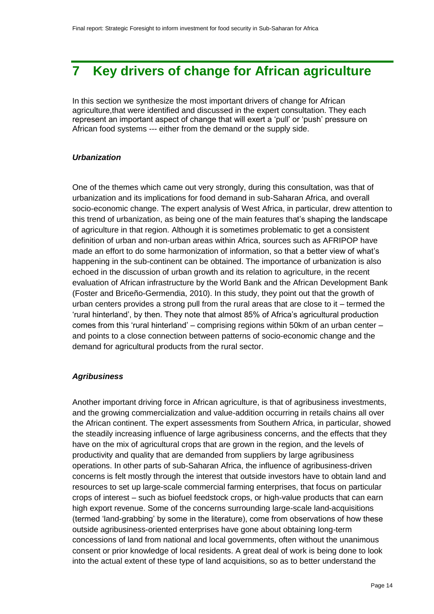# <span id="page-13-0"></span>**7 Key drivers of change for African agriculture**

In this section we synthesize the most important drivers of change for African agriculture,that were identified and discussed in the expert consultation. They each represent an important aspect of change that will exert a 'pull' or 'push' pressure on African food systems --- either from the demand or the supply side.

## *Urbanization*

One of the themes which came out very strongly, during this consultation, was that of urbanization and its implications for food demand in sub-Saharan Africa, and overall socio-economic change. The expert analysis of West Africa, in particular, drew attention to this trend of urbanization, as being one of the main features that's shaping the landscape of agriculture in that region. Although it is sometimes problematic to get a consistent definition of urban and non-urban areas within Africa, sources such as AFRIPOP have made an effort to do some harmonization of information, so that a better view of what's happening in the sub-continent can be obtained. The importance of urbanization is also echoed in the discussion of urban growth and its relation to agriculture, in the recent evaluation of African infrastructure by the World Bank and the African Development Bank (Foster and Briceño-Germendia, 2010). In this study, they point out that the growth of urban centers provides a strong pull from the rural areas that are close to it – termed the 'rural hinterland', by then. They note that almost 85% of Africa's agricultural production comes from this 'rural hinterland' – comprising regions within 50km of an urban center – and points to a close connection between patterns of socio-economic change and the demand for agricultural products from the rural sector.

## *Agribusiness*

Another important driving force in African agriculture, is that of agribusiness investments, and the growing commercialization and value-addition occurring in retails chains all over the African continent. The expert assessments from Southern Africa, in particular, showed the steadily increasing influence of large agribusiness concerns, and the effects that they have on the mix of agricultural crops that are grown in the region, and the levels of productivity and quality that are demanded from suppliers by large agribusiness operations. In other parts of sub-Saharan Africa, the influence of agribusiness-driven concerns is felt mostly through the interest that outside investors have to obtain land and resources to set up large-scale commercial farming enterprises, that focus on particular crops of interest – such as biofuel feedstock crops, or high-value products that can earn high export revenue. Some of the concerns surrounding large-scale land-acquisitions (termed 'land-grabbing' by some in the literature), come from observations of how these outside agribusiness-oriented enterprises have gone about obtaining long-term concessions of land from national and local governments, often without the unanimous consent or prior knowledge of local residents. A great deal of work is being done to look into the actual extent of these type of land acquisitions, so as to better understand the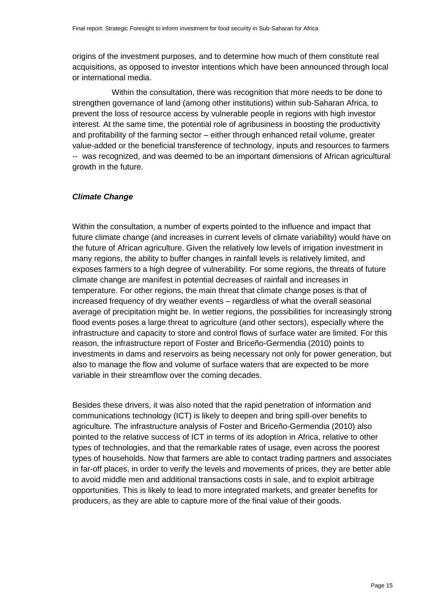origins of the investment purposes, and to determine how much of them constitute real acquisitions, as opposed to investor intentions which have been announced through local or international media.

Within the consultation, there was recognition that more needs to be done to strengthen governance of land (among other institutions) within sub-Saharan Africa, to prevent the loss of resource access by vulnerable people in regions with high investor interest. At the same time, the potential role of agribusiness in boosting the productivity and profitability of the farming sector – either through enhanced retail volume, greater value-added or the beneficial transference of technology, inputs and resources to farmers -- was recognized, and was deemed to be an important dimensions of African agricultural growth in the future.

## *Climate Change*

Within the consultation, a number of experts pointed to the influence and impact that future climate change (and increases in current levels of climate variability) would have on the future of African agriculture. Given the relatively low levels of irrigation investment in many regions, the ability to buffer changes in rainfall levels is relatively limited, and exposes farmers to a high degree of vulnerability. For some regions, the threats of future climate change are manifest in potential decreases of rainfall and increases in temperature. For other regions, the main threat that climate change poses is that of increased frequency of dry weather events – regardless of what the overall seasonal average of precipitation might be. In wetter regions, the possibilities for increasingly strong flood events poses a large threat to agriculture (and other sectors), especially where the infrastructure and capacity to store and control flows of surface water are limited. For this reason, the infrastructure report of Foster and Briceño-Germendia (2010) points to investments in dams and reservoirs as being necessary not only for power generation, but also to manage the flow and volume of surface waters that are expected to be more variable in their streamflow over the coming decades.

Besides these drivers, it was also noted that the rapid penetration of information and communications technology (ICT) is likely to deepen and bring spill-over benefits to agriculture. The infrastructure analysis of Foster and Briceño-Germendia (2010) also pointed to the relative success of ICT in terms of its adoption in Africa, relative to other types of technologies, and that the remarkable rates of usage, even across the poorest types of households. Now that farmers are able to contact trading partners and associates in far-off places, in order to verify the levels and movements of prices, they are better able to avoid middle men and additional transactions costs in sale, and to exploit arbitrage opportunities. This is likely to lead to more integrated markets, and greater benefits for producers, as they are able to capture more of the final value of their goods.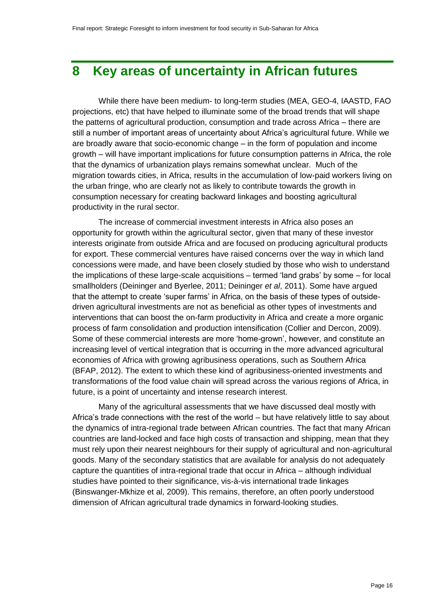# <span id="page-15-0"></span>**8 Key areas of uncertainty in African futures**

While there have been medium- to long-term studies (MEA, GEO-4, IAASTD, FAO projections, etc) that have helped to illuminate some of the broad trends that will shape the patterns of agricultural production, consumption and trade across Africa – there are still a number of important areas of uncertainty about Africa's agricultural future. While we are broadly aware that socio-economic change – in the form of population and income growth – will have important implications for future consumption patterns in Africa, the role that the dynamics of urbanization plays remains somewhat unclear. Much of the migration towards cities, in Africa, results in the accumulation of low-paid workers living on the urban fringe, who are clearly not as likely to contribute towards the growth in consumption necessary for creating backward linkages and boosting agricultural productivity in the rural sector.

The increase of commercial investment interests in Africa also poses an opportunity for growth within the agricultural sector, given that many of these investor interests originate from outside Africa and are focused on producing agricultural products for export. These commercial ventures have raised concerns over the way in which land concessions were made, and have been closely studied by those who wish to understand the implications of these large-scale acquisitions – termed 'land grabs' by some – for local smallholders (Deininger and Byerlee, 2011; Deininger *et al*, 2011). Some have argued that the attempt to create 'super farms' in Africa, on the basis of these types of outsidedriven agricultural investments are not as beneficial as other types of investments and interventions that can boost the on-farm productivity in Africa and create a more organic process of farm consolidation and production intensification (Collier and Dercon, 2009). Some of these commercial interests are more 'home-grown', however, and constitute an increasing level of vertical integration that is occurring in the more advanced agricultural economies of Africa with growing agribusiness operations, such as Southern Africa (BFAP, 2012). The extent to which these kind of agribusiness-oriented investments and transformations of the food value chain will spread across the various regions of Africa, in future, is a point of uncertainty and intense research interest.

Many of the agricultural assessments that we have discussed deal mostly with Africa's trade connections with the rest of the world – but have relatively little to say about the dynamics of intra-regional trade between African countries. The fact that many African countries are land-locked and face high costs of transaction and shipping, mean that they must rely upon their nearest neighbours for their supply of agricultural and non-agricultural goods. Many of the secondary statistics that are available for analysis do not adequately capture the quantities of intra-regional trade that occur in Africa – although individual studies have pointed to their significance, vis-à-vis international trade linkages (Binswanger-Mkhize et al, 2009). This remains, therefore, an often poorly understood dimension of African agricultural trade dynamics in forward-looking studies.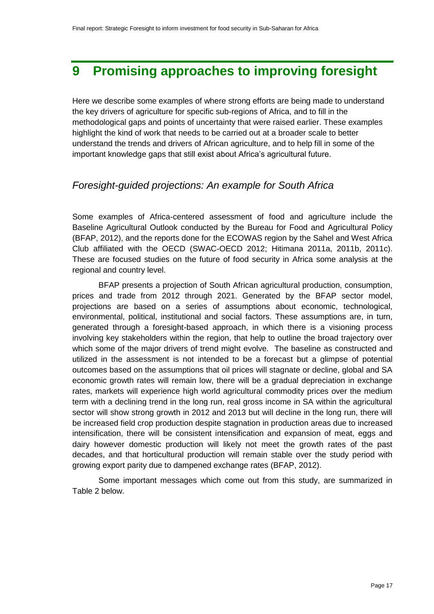# <span id="page-16-0"></span>**9 Promising approaches to improving foresight**

Here we describe some examples of where strong efforts are being made to understand the key drivers of agriculture for specific sub-regions of Africa, and to fill in the methodological gaps and points of uncertainty that were raised earlier. These examples highlight the kind of work that needs to be carried out at a broader scale to better understand the trends and drivers of African agriculture, and to help fill in some of the important knowledge gaps that still exist about Africa's agricultural future.

## *Foresight-guided projections: An example for South Africa*

Some examples of Africa-centered assessment of food and agriculture include the Baseline Agricultural Outlook conducted by the Bureau for Food and Agricultural Policy (BFAP, 2012), and the reports done for the ECOWAS region by the Sahel and West Africa Club affiliated with the OECD (SWAC-OECD 2012; Hitimana 2011a, 2011b, 2011c). These are focused studies on the future of food security in Africa some analysis at the regional and country level.

BFAP presents a projection of South African agricultural production, consumption, prices and trade from 2012 through 2021. Generated by the BFAP sector model, projections are based on a series of assumptions about economic, technological, environmental, political, institutional and social factors. These assumptions are, in turn, generated through a foresight-based approach, in which there is a visioning process involving key stakeholders within the region, that help to outline the broad trajectory over which some of the major drivers of trend might evolve. The baseline as constructed and utilized in the assessment is not intended to be a forecast but a glimpse of potential outcomes based on the assumptions that oil prices will stagnate or decline, global and SA economic growth rates will remain low, there will be a gradual depreciation in exchange rates, markets will experience high world agricultural commodity prices over the medium term with a declining trend in the long run, real gross income in SA within the agricultural sector will show strong growth in 2012 and 2013 but will decline in the long run, there will be increased field crop production despite stagnation in production areas due to increased intensification, there will be consistent intensification and expansion of meat, eggs and dairy however domestic production will likely not meet the growth rates of the past decades, and that horticultural production will remain stable over the study period with growing export parity due to dampened exchange rates (BFAP, 2012).

Some important messages which come out from this study, are summarized in Table 2 below.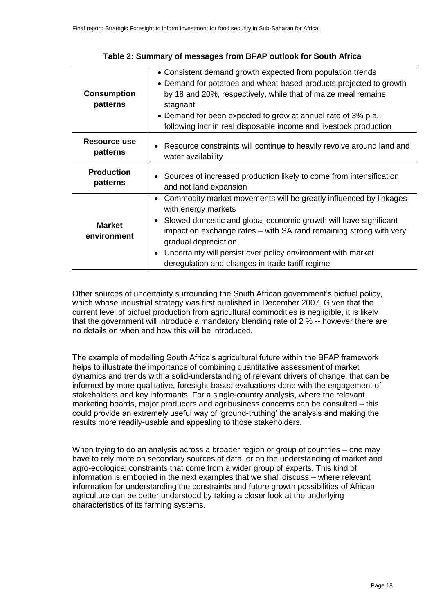|                               | • Consistent demand growth expected from population trends                                                                          |  |
|-------------------------------|-------------------------------------------------------------------------------------------------------------------------------------|--|
| <b>Consumption</b>            | • Demand for potatoes and wheat-based products projected to growth<br>by 18 and 20%, respectively, while that of maize meal remains |  |
| patterns                      | stagnant                                                                                                                            |  |
|                               | • Demand for been expected to grow at annual rate of 3% p.a.,                                                                       |  |
|                               | following incr in real disposable income and livestock production                                                                   |  |
| Resource use<br>patterns      | • Resource constraints will continue to heavily revolve around land and<br>water availability                                       |  |
| <b>Production</b><br>patterns | • Sources of increased production likely to come from intensification<br>and not land expansion                                     |  |
|                               | • Commodity market movements will be greatly influenced by linkages<br>with energy markets                                          |  |
| <b>Market</b>                 | • Slowed domestic and global economic growth will have significant                                                                  |  |
| environment                   | impact on exchange rates – with SA rand remaining strong with very<br>gradual depreciation                                          |  |
|                               | Uncertainty will persist over policy environment with market<br>$\bullet$<br>deregulation and changes in trade tariff regime        |  |

#### **Table 2: Summary of messages from BFAP outlook for South Africa**

Other sources of uncertainty surrounding the South African government's biofuel policy, which whose industrial strategy was first published in December 2007. Given that the current level of biofuel production from agricultural commodities is negligible, it is likely that the government will introduce a mandatory blending rate of 2 % -- however there are no details on when and how this will be introduced.

The example of modelling South Africa's agricultural future within the BFAP framework helps to illustrate the importance of combining quantitative assessment of market dynamics and trends with a solid-understanding of relevant drivers of change, that can be informed by more qualitative, foresight-based evaluations done with the engagement of stakeholders and key informants. For a single-country analysis, where the relevant marketing boards, major producers and agribusiness concerns can be consulted – this could provide an extremely useful way of 'ground-truthing' the analysis and making the results more readily-usable and appealing to those stakeholders.

When trying to do an analysis across a broader region or group of countries – one may have to rely more on secondary sources of data, or on the understanding of market and agro-ecological constraints that come from a wider group of experts. This kind of information is embodied in the next examples that we shall discuss – where relevant information for understanding the constraints and future growth possibilities of African agriculture can be better understood by taking a closer look at the underlying characteristics of its farming systems.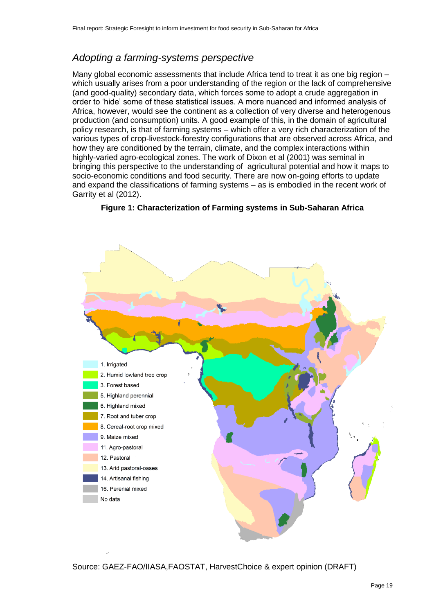## *Adopting a farming-systems perspective*

Many global economic assessments that include Africa tend to treat it as one big region which usually arises from a poor understanding of the region or the lack of comprehensive (and good-quality) secondary data, which forces some to adopt a crude aggregation in order to 'hide' some of these statistical issues. A more nuanced and informed analysis of Africa, however, would see the continent as a collection of very diverse and heterogenous production (and consumption) units. A good example of this, in the domain of agricultural policy research, is that of farming systems – which offer a very rich characterization of the various types of crop-livestock-forestry configurations that are observed across Africa, and how they are conditioned by the terrain, climate, and the complex interactions within highly-varied agro-ecological zones. The work of Dixon et al (2001) was seminal in bringing this perspective to the understanding of agricultural potential and how it maps to socio-economic conditions and food security. There are now on-going efforts to update and expand the classifications of farming systems – as is embodied in the recent work of Garrity et al (2012).





Source: GAEZ-FAO/IIASA,FAOSTAT, HarvestChoice & expert opinion (DRAFT)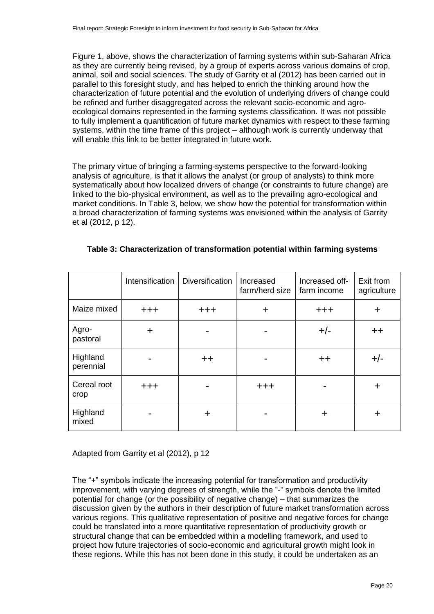Figure 1, above, shows the characterization of farming systems within sub-Saharan Africa as they are currently being revised, by a group of experts across various domains of crop, animal, soil and social sciences. The study of Garrity et al (2012) has been carried out in parallel to this foresight study, and has helped to enrich the thinking around how the characterization of future potential and the evolution of underlying drivers of change could be refined and further disaggregated across the relevant socio-economic and agroecological domains represented in the farming systems classification. It was not possible to fully implement a quantification of future market dynamics with respect to these farming systems, within the time frame of this project – although work is currently underway that will enable this link to be better integrated in future work.

The primary virtue of bringing a farming-systems perspective to the forward-looking analysis of agriculture, is that it allows the analyst (or group of analysts) to think more systematically about how localized drivers of change (or constraints to future change) are linked to the bio-physical environment, as well as to the prevailing agro-ecological and market conditions. In Table 3, below, we show how the potential for transformation within a broad characterization of farming systems was envisioned within the analysis of Garrity et al (2012, p 12).

|                       | Intensification | <b>Diversification</b> | Increased<br>farm/herd size | Increased off-<br>farm income | Exit from<br>agriculture |
|-----------------------|-----------------|------------------------|-----------------------------|-------------------------------|--------------------------|
| Maize mixed           | $+ + +$         | $+ + +$                | $\ddag$                     | $+ + +$                       | ┿                        |
| Agro-<br>pastoral     | $\div$          |                        |                             | $+/-$                         | $++$                     |
| Highland<br>perennial |                 | $++$                   |                             | $++$                          | $+/-$                    |
| Cereal root<br>crop   | $+ + +$         |                        | $+ + +$                     |                               | ┿                        |
| Highland<br>mixed     |                 | ┿                      |                             | ┿                             | ┿                        |

#### **Table 3: Characterization of transformation potential within farming systems**

Adapted from Garrity et al (2012), p 12

The "+" symbols indicate the increasing potential for transformation and productivity improvement, with varying degrees of strength, while the "-" symbols denote the limited potential for change (or the possibility of negative change) – that summarizes the discussion given by the authors in their description of future market transformation across various regions. This qualitative representation of positive and negative forces for change could be translated into a more quantitative representation of productivity growth or structural change that can be embedded within a modelling framework, and used to project how future trajectories of socio-economic and agricultural growth might look in these regions. While this has not been done in this study, it could be undertaken as an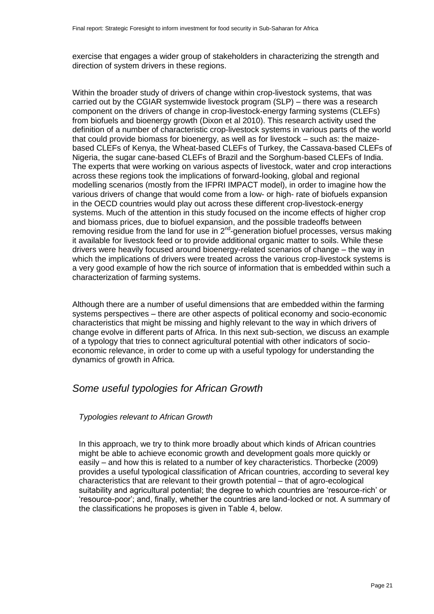exercise that engages a wider group of stakeholders in characterizing the strength and direction of system drivers in these regions.

Within the broader study of drivers of change within crop-livestock systems, that was carried out by the CGIAR systemwide livestock program (SLP) – there was a research component on the drivers of change in crop-livestock-energy farming systems (CLEFs) from biofuels and bioenergy growth (Dixon et al 2010). This research activity used the definition of a number of characteristic crop-livestock systems in various parts of the world that could provide biomass for bioenergy, as well as for livestock – such as: the maizebased CLEFs of Kenya, the Wheat-based CLEFs of Turkey, the Cassava-based CLEFs of Nigeria, the sugar cane-based CLEFs of Brazil and the Sorghum-based CLEFs of India. The experts that were working on various aspects of livestock, water and crop interactions across these regions took the implications of forward-looking, global and regional modelling scenarios (mostly from the IFPRI IMPACT model), in order to imagine how the various drivers of change that would come from a low- or high- rate of biofuels expansion in the OECD countries would play out across these different crop-livestock-energy systems. Much of the attention in this study focused on the income effects of higher crop and biomass prices, due to biofuel expansion, and the possible tradeoffs between removing residue from the land for use in  $2^{nd}$ -generation biofuel processes, versus making it available for livestock feed or to provide additional organic matter to soils. While these drivers were heavily focused around bioenergy-related scenarios of change – the way in which the implications of drivers were treated across the various crop-livestock systems is a very good example of how the rich source of information that is embedded within such a characterization of farming systems.

Although there are a number of useful dimensions that are embedded within the farming systems perspectives – there are other aspects of political economy and socio-economic characteristics that might be missing and highly relevant to the way in which drivers of change evolve in different parts of Africa. In this next sub-section, we discuss an example of a typology that tries to connect agricultural potential with other indicators of socioeconomic relevance, in order to come up with a useful typology for understanding the dynamics of growth in Africa.

## *Some useful typologies for African Growth*

## *Typologies relevant to African Growth*

In this approach, we try to think more broadly about which kinds of African countries might be able to achieve economic growth and development goals more quickly or easily – and how this is related to a number of key characteristics. Thorbecke (2009) provides a useful typological classification of African countries, according to several key characteristics that are relevant to their growth potential – that of agro-ecological suitability and agricultural potential; the degree to which countries are 'resource-rich' or 'resource-poor'; and, finally, whether the countries are land-locked or not. A summary of the classifications he proposes is given in Table 4, below.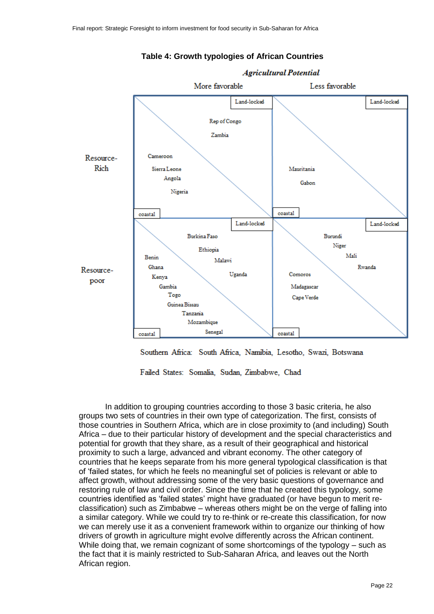

## **Table 4: Growth typologies of African Countries**

Southern Africa: South Africa, Namibia, Lesotho, Swazi, Botswana

Failed States: Somalia, Sudan, Zimbabwe, Chad

In addition to grouping countries according to those 3 basic criteria, he also groups two sets of countries in their own type of categorization. The first, consists of those countries in Southern Africa, which are in close proximity to (and including) South Africa – due to their particular history of development and the special characteristics and potential for growth that they share, as a result of their geographical and historical proximity to such a large, advanced and vibrant economy. The other category of countries that he keeps separate from his more general typological classification is that of 'failed states, for which he feels no meaningful set of policies is relevant or able to affect growth, without addressing some of the very basic questions of governance and restoring rule of law and civil order. Since the time that he created this typology, some countries identified as 'failed states' might have graduated (or have begun to merit reclassification) such as Zimbabwe – whereas others might be on the verge of falling into a similar category. While we could try to re-think or re-create this classification, for now we can merely use it as a convenient framework within to organize our thinking of how drivers of growth in agriculture might evolve differently across the African continent. While doing that, we remain cognizant of some shortcomings of the typology – such as the fact that it is mainly restricted to Sub-Saharan Africa, and leaves out the North African region.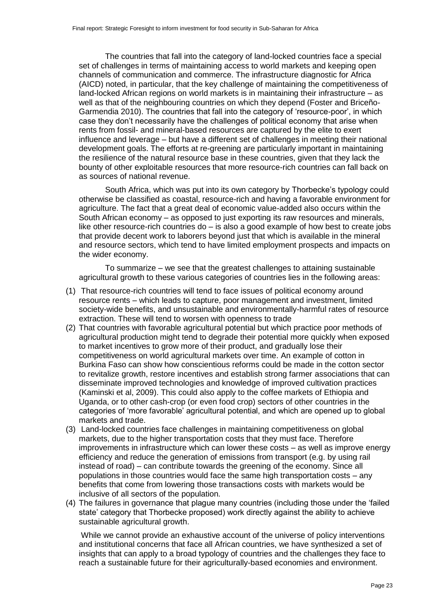The countries that fall into the category of land-locked countries face a special set of challenges in terms of maintaining access to world markets and keeping open channels of communication and commerce. The infrastructure diagnostic for Africa (AICD) noted, in particular, that the key challenge of maintaining the competitiveness of land-locked African regions on world markets is in maintaining their infrastructure – as well as that of the neighbouring countries on which they depend (Foster and Briceño-Garmendia 2010). The countries that fall into the category of 'resource-poor', in which case they don't necessarily have the challenges of political economy that arise when rents from fossil- and mineral-based resources are captured by the elite to exert influence and leverage – but have a different set of challenges in meeting their national development goals. The efforts at re-greening are particularly important in maintaining the resilience of the natural resource base in these countries, given that they lack the bounty of other exploitable resources that more resource-rich countries can fall back on as sources of national revenue.

South Africa, which was put into its own category by Thorbecke's typology could otherwise be classified as coastal, resource-rich and having a favorable environment for agriculture. The fact that a great deal of economic value-added also occurs within the South African economy – as opposed to just exporting its raw resources and minerals, like other resource-rich countries do – is also a good example of how best to create jobs that provide decent work to laborers beyond just that which is available in the mineral and resource sectors, which tend to have limited employment prospects and impacts on the wider economy.

To summarize – we see that the greatest challenges to attaining sustainable agricultural growth to these various categories of countries lies in the following areas:

- (1) That resource-rich countries will tend to face issues of political economy around resource rents – which leads to capture, poor management and investment, limited society-wide benefits, and unsustainable and environmentally-harmful rates of resource extraction. These will tend to worsen with openness to trade
- (2) That countries with favorable agricultural potential but which practice poor methods of agricultural production might tend to degrade their potential more quickly when exposed to market incentives to grow more of their product, and gradually lose their competitiveness on world agricultural markets over time. An example of cotton in Burkina Faso can show how conscientious reforms could be made in the cotton sector to revitalize growth, restore incentives and establish strong farmer associations that can disseminate improved technologies and knowledge of improved cultivation practices (Kaminski et al, 2009). This could also apply to the coffee markets of Ethiopia and Uganda, or to other cash-crop (or even food crop) sectors of other countries in the categories of 'more favorable' agricultural potential, and which are opened up to global markets and trade.
- (3) Land-locked countries face challenges in maintaining competitiveness on global markets, due to the higher transportation costs that they must face. Therefore improvements in infrastructure which can lower these costs – as well as improve energy efficiency and reduce the generation of emissions from transport (e.g. by using rail instead of road) – can contribute towards the greening of the economy. Since all populations in those countries would face the same high transportation costs – any benefits that come from lowering those transactions costs with markets would be inclusive of all sectors of the population.
- (4) The failures in governance that plague many countries (including those under the 'failed state' category that Thorbecke proposed) work directly against the ability to achieve sustainable agricultural growth.

While we cannot provide an exhaustive account of the universe of policy interventions and institutional concerns that face all African countries, we have synthesized a set of insights that can apply to a broad typology of countries and the challenges they face to reach a sustainable future for their agriculturally-based economies and environment.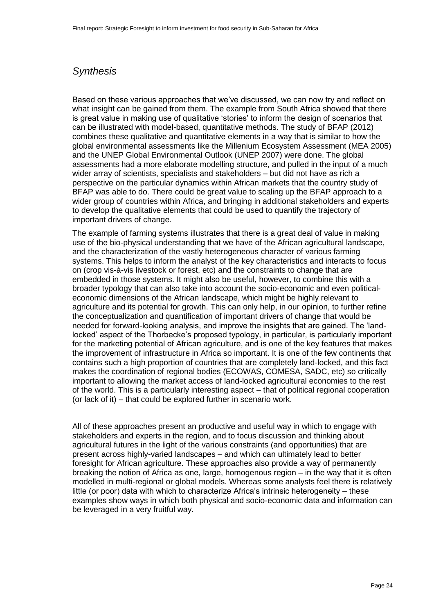## *Synthesis*

Based on these various approaches that we've discussed, we can now try and reflect on what insight can be gained from them. The example from South Africa showed that there is great value in making use of qualitative 'stories' to inform the design of scenarios that can be illustrated with model-based, quantitative methods. The study of BFAP (2012) combines these qualitative and quantitative elements in a way that is similar to how the global environmental assessments like the Millenium Ecosystem Assessment (MEA 2005) and the UNEP Global Environmental Outlook (UNEP 2007) were done. The global assessments had a more elaborate modelling structure, and pulled in the input of a much wider array of scientists, specialists and stakeholders – but did not have as rich a perspective on the particular dynamics within African markets that the country study of BFAP was able to do. There could be great value to scaling up the BFAP approach to a wider group of countries within Africa, and bringing in additional stakeholders and experts to develop the qualitative elements that could be used to quantify the trajectory of important drivers of change.

The example of farming systems illustrates that there is a great deal of value in making use of the bio-physical understanding that we have of the African agricultural landscape, and the characterization of the vastly heterogeneous character of various farming systems. This helps to inform the analyst of the key characteristics and interacts to focus on (crop vis-à-vis livestock or forest, etc) and the constraints to change that are embedded in those systems. It might also be useful, however, to combine this with a broader typology that can also take into account the socio-economic and even politicaleconomic dimensions of the African landscape, which might be highly relevant to agriculture and its potential for growth. This can only help, in our opinion, to further refine the conceptualization and quantification of important drivers of change that would be needed for forward-looking analysis, and improve the insights that are gained. The 'landlocked' aspect of the Thorbecke's proposed typology, in particular, is particularly important for the marketing potential of African agriculture, and is one of the key features that makes the improvement of infrastructure in Africa so important. It is one of the few continents that contains such a high proportion of countries that are completely land-locked, and this fact makes the coordination of regional bodies (ECOWAS, COMESA, SADC, etc) so critically important to allowing the market access of land-locked agricultural economies to the rest of the world. This is a particularly interesting aspect – that of political regional cooperation (or lack of it) – that could be explored further in scenario work.

All of these approaches present an productive and useful way in which to engage with stakeholders and experts in the region, and to focus discussion and thinking about agricultural futures in the light of the various constraints (and opportunities) that are present across highly-varied landscapes – and which can ultimately lead to better foresight for African agriculture. These approaches also provide a way of permanently breaking the notion of Africa as one, large, homogenous region – in the way that it is often modelled in multi-regional or global models. Whereas some analysts feel there is relatively little (or poor) data with which to characterize Africa's intrinsic heterogeneity – these examples show ways in which both physical and socio-economic data and information can be leveraged in a very fruitful way.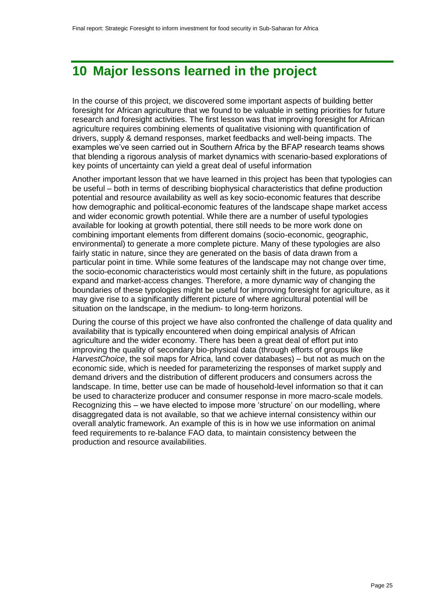# <span id="page-24-0"></span>**10 Major lessons learned in the project**

In the course of this project, we discovered some important aspects of building better foresight for African agriculture that we found to be valuable in setting priorities for future research and foresight activities. The first lesson was that improving foresight for African agriculture requires combining elements of qualitative visioning with quantification of drivers, supply & demand responses, market feedbacks and well-being impacts. The examples we've seen carried out in Southern Africa by the BFAP research teams shows that blending a rigorous analysis of market dynamics with scenario-based explorations of key points of uncertainty can yield a great deal of useful information

Another important lesson that we have learned in this project has been that typologies can be useful – both in terms of describing biophysical characteristics that define production potential and resource availability as well as key socio-economic features that describe how demographic and political-economic features of the landscape shape market access and wider economic growth potential. While there are a number of useful typologies available for looking at growth potential, there still needs to be more work done on combining important elements from different domains (socio-economic, geographic, environmental) to generate a more complete picture. Many of these typologies are also fairly static in nature, since they are generated on the basis of data drawn from a particular point in time. While some features of the landscape may not change over time, the socio-economic characteristics would most certainly shift in the future, as populations expand and market-access changes. Therefore, a more dynamic way of changing the boundaries of these typologies might be useful for improving foresight for agriculture, as it may give rise to a significantly different picture of where agricultural potential will be situation on the landscape, in the medium- to long-term horizons.

During the course of this project we have also confronted the challenge of data quality and availability that is typically encountered when doing empirical analysis of African agriculture and the wider economy. There has been a great deal of effort put into improving the quality of secondary bio-physical data (through efforts of groups like *HarvestChoice*, the soil maps for Africa, land cover databases) – but not as much on the economic side, which is needed for parameterizing the responses of market supply and demand drivers and the distribution of different producers and consumers across the landscape. In time, better use can be made of household-level information so that it can be used to characterize producer and consumer response in more macro-scale models. Recognizing this – we have elected to impose more 'structure' on our modelling, where disaggregated data is not available, so that we achieve internal consistency within our overall analytic framework. An example of this is in how we use information on animal feed requirements to re-balance FAO data, to maintain consistency between the production and resource availabilities.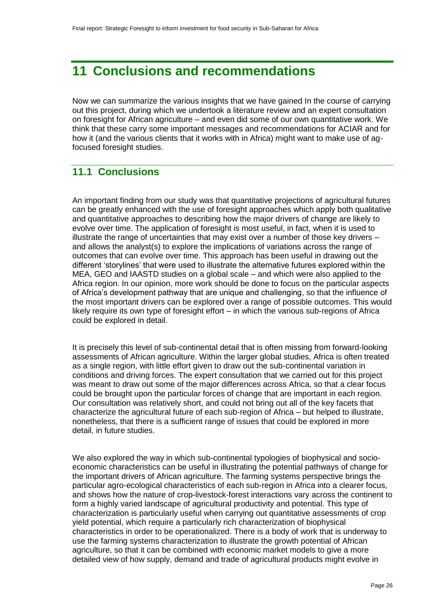# <span id="page-25-0"></span>**11 Conclusions and recommendations**

Now we can summarize the various insights that we have gained In the course of carrying out this project, during which we undertook a literature review and an expert consultation on foresight for African agriculture – and even did some of our own quantitative work. We think that these carry some important messages and recommendations for ACIAR and for how it (and the various clients that it works with in Africa) might want to make use of agfocused foresight studies.

## <span id="page-25-1"></span>**11.1 Conclusions**

An important finding from our study was that quantitative projections of agricultural futures can be greatly enhanced with the use of foresight approaches which apply both qualitative and quantitative approaches to describing how the major drivers of change are likely to evolve over time. The application of foresight is most useful, in fact, when it is used to illustrate the range of uncertainties that may exist over a number of those key drivers – and allows the analyst(s) to explore the implications of variations across the range of outcomes that can evolve over time. This approach has been useful in drawing out the different 'storylines' that were used to illustrate the alternative futures explored within the MEA, GEO and IAASTD studies on a global scale – and which were also applied to the Africa region. In our opinion, more work should be done to focus on the particular aspects of Africa's development pathway that are unique and challenging, so that the influence of the most important drivers can be explored over a range of possible outcomes. This would likely require its own type of foresight effort – in which the various sub-regions of Africa could be explored in detail.

It is precisely this level of sub-continental detail that is often missing from forward-looking assessments of African agriculture. Within the larger global studies, Africa is often treated as a single region, with little effort given to draw out the sub-continental variation in conditions and driving forces. The expert consultation that we carried out for this project was meant to draw out some of the major differences across Africa, so that a clear focus could be brought upon the particular forces of change that are important in each region. Our consultation was relatively short, and could not bring out all of the key facets that characterize the agricultural future of each sub-region of Africa – but helped to illustrate, nonetheless, that there is a sufficient range of issues that could be explored in more detail, in future studies.

We also explored the way in which sub-continental typologies of biophysical and socioeconomic characteristics can be useful in illustrating the potential pathways of change for the important drivers of African agriculture. The farming systems perspective brings the particular agro-ecological characteristics of each sub-region in Africa into a clearer focus, and shows how the nature of crop-livestock-forest interactions vary across the continent to form a highly varied landscape of agricultural productivity and potential. This type of characterization is particularly useful when carrying out quantitative assessments of crop yield potential, which require a particularly rich characterization of biophysical characteristics in order to be operationalized. There is a body of work that is underway to use the farming systems characterization to illustrate the growth potential of African agriculture, so that it can be combined with economic market models to give a more detailed view of how supply, demand and trade of agricultural products might evolve in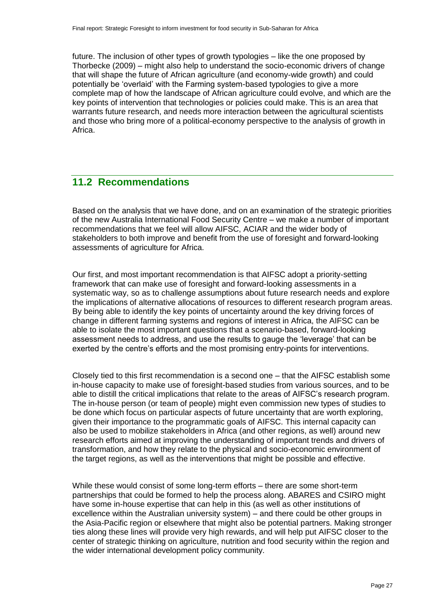future. The inclusion of other types of growth typologies – like the one proposed by Thorbecke (2009) – might also help to understand the socio-economic drivers of change that will shape the future of African agriculture (and economy-wide growth) and could potentially be 'overlaid' with the Farming system-based typologies to give a more complete map of how the landscape of African agriculture could evolve, and which are the key points of intervention that technologies or policies could make. This is an area that warrants future research, and needs more interaction between the agricultural scientists and those who bring more of a political-economy perspective to the analysis of growth in Africa.

## <span id="page-26-0"></span>**11.2 Recommendations**

Based on the analysis that we have done, and on an examination of the strategic priorities of the new Australia International Food Security Centre – we make a number of important recommendations that we feel will allow AIFSC, ACIAR and the wider body of stakeholders to both improve and benefit from the use of foresight and forward-looking assessments of agriculture for Africa.

Our first, and most important recommendation is that AIFSC adopt a priority-setting framework that can make use of foresight and forward-looking assessments in a systematic way, so as to challenge assumptions about future research needs and explore the implications of alternative allocations of resources to different research program areas. By being able to identify the key points of uncertainty around the key driving forces of change in different farming systems and regions of interest in Africa, the AIFSC can be able to isolate the most important questions that a scenario-based, forward-looking assessment needs to address, and use the results to gauge the 'leverage' that can be exerted by the centre's efforts and the most promising entry-points for interventions.

Closely tied to this first recommendation is a second one – that the AIFSC establish some in-house capacity to make use of foresight-based studies from various sources, and to be able to distill the critical implications that relate to the areas of AIFSC's research program. The in-house person (or team of people) might even commission new types of studies to be done which focus on particular aspects of future uncertainty that are worth exploring, given their importance to the programmatic goals of AIFSC. This internal capacity can also be used to mobilize stakeholders in Africa (and other regions, as well) around new research efforts aimed at improving the understanding of important trends and drivers of transformation, and how they relate to the physical and socio-economic environment of the target regions, as well as the interventions that might be possible and effective.

While these would consist of some long-term efforts – there are some short-term partnerships that could be formed to help the process along. ABARES and CSIRO might have some in-house expertise that can help in this (as well as other institutions of excellence within the Australian university system) – and there could be other groups in the Asia-Pacific region or elsewhere that might also be potential partners. Making stronger ties along these lines will provide very high rewards, and will help put AIFSC closer to the center of strategic thinking on agriculture, nutrition and food security within the region and the wider international development policy community.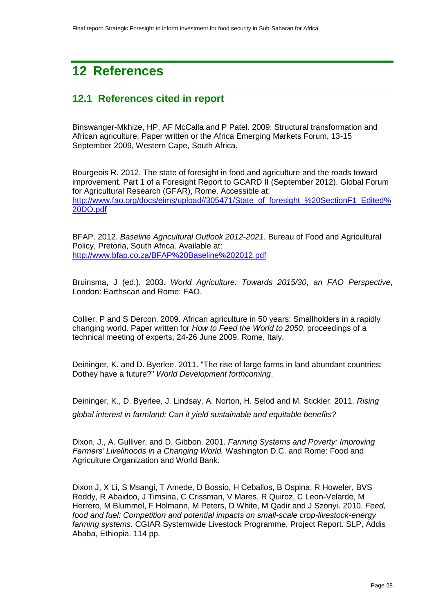# <span id="page-27-0"></span>**12 References**

## <span id="page-27-1"></span>**12.1 References cited in report**

Binswanger-Mkhize, HP, AF McCalla and P Patel. 2009. Structural transformation and African agriculture. Paper written or the Africa Emerging Markets Forum, 13-15 September 2009, Western Cape, South Africa.

Bourgeois R. 2012. The state of foresight in food and agriculture and the roads toward improvement. Part 1 of a Foresight Report to GCARD II (September 2012). Global Forum for Agricultural Research (GFAR), Rome. Accessible at: [http://www.fao.org/docs/eims/upload//305471/State\\_of\\_foresight\\_%20SectionF1\\_Edited%](http://www.fao.org/docs/eims/upload/305471/State_of_foresight_%20SectionF1_Edited%20DO.pdf) [20DO.pdf](http://www.fao.org/docs/eims/upload/305471/State_of_foresight_%20SectionF1_Edited%20DO.pdf)

BFAP. 2012. *Baseline Agricultural Outlook 2012-2021.* Bureau of Food and Agricultural Policy, Pretoria, South Africa. Available at: <http://www.bfap.co.za/BFAP%20Baseline%202012.pdf>

Bruinsma, J (ed.). 2003. *World Agriculture: Towards 2015/30*, *an FAO Perspective*, London: Earthscan and Rome: FAO.

Collier, P and S Dercon. 2009. African agriculture in 50 years: Smallholders in a rapidly changing world. Paper written for *How to Feed the World to 2050*, proceedings of a technical meeting of experts, 24-26 June 2009, Rome, Italy.

Deininger, K. and D. Byerlee. 2011. "The rise of large farms in land abundant countries: Dothey have a future?" *World Development forthcoming*.

Deininger, K., D. Byerlee, J. Lindsay, A. Norton, H. Selod and M. Stickler. 2011. *Rising global interest in farmland: Can it yield sustainable and equitable benefits?*

Dixon, J., A. Gulliver, and D. Gibbon. 2001. *Farming Systems and Poverty: Improving Farmers' Livelihoods in a Changing World.* Washington D.C. and Rome: Food and Agriculture Organization and World Bank.

Dixon J, X Li, S Msangi, T Amede, D Bossio, H Ceballos, B Ospina, R Howeler, BVS Reddy, R Abaidoo, J Timsina, C Crissman, V Mares, R Quiroz, C Leon-Velarde, M Herrero, M Blummel, F Holmann, M Peters, D White, M Qadir and J Szonyi. 2010. *Feed, food and fuel: Competition and potential impacts on small-scale crop-livestock-energy farming systems.* CGIAR Systemwide Livestock Programme, Project Report. SLP, Addis Ababa, Ethiopia. 114 pp.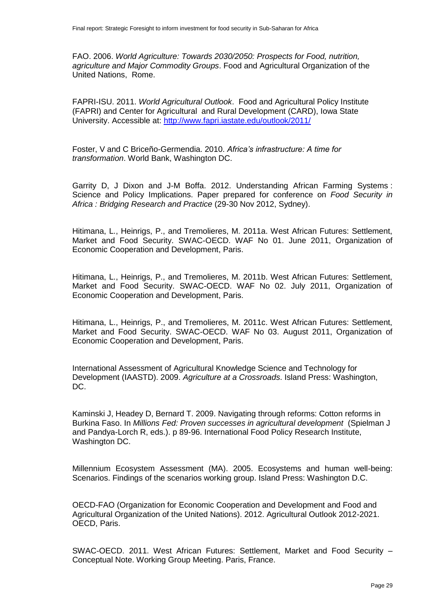FAO. 2006. *World Agriculture: Towards 2030/2050: Prospects for Food, nutrition, agriculture and Major Commodity Groups*. Food and Agricultural Organization of the United Nations, Rome.

FAPRI-ISU. 2011. *World Agricultural Outlook*. Food and Agricultural Policy Institute (FAPRI) and Center for Agricultural and Rural Development (CARD), Iowa State University. Accessible at:<http://www.fapri.iastate.edu/outlook/2011/>

Foster, V and C Briceño-Germendia. 2010. *Africa's infrastructure: A time for transformation*. World Bank, Washington DC.

Garrity D, J Dixon and J-M Boffa. 2012. Understanding African Farming Systems : Science and Policy Implications. Paper prepared for conference on *Food Security in Africa : Bridging Research and Practice* (29-30 Nov 2012, Sydney).

Hitimana, L., Heinrigs, P., and Tremolieres, M. 2011a. West African Futures: Settlement, Market and Food Security. SWAC-OECD. WAF No 01. June 2011, Organization of Economic Cooperation and Development, Paris.

Hitimana, L., Heinrigs, P., and Tremolieres, M. 2011b. West African Futures: Settlement, Market and Food Security. SWAC-OECD. WAF No 02. July 2011, Organization of Economic Cooperation and Development, Paris.

Hitimana, L., Heinrigs, P., and Tremolieres, M. 2011c. West African Futures: Settlement, Market and Food Security. SWAC-OECD. WAF No 03. August 2011, Organization of Economic Cooperation and Development, Paris.

International Assessment of Agricultural Knowledge Science and Technology for Development (IAASTD). 2009. *Agriculture at a Crossroads*. Island Press: Washington, DC.

Kaminski J, Headey D, Bernard T. 2009. Navigating through reforms: Cotton reforms in Burkina Faso. In *Millions Fed: Proven successes in agricultural development* (Spielman J and Pandya-Lorch R, eds.). p 89-96. International Food Policy Research Institute, Washington DC.

Millennium Ecosystem Assessment (MA). 2005. Ecosystems and human well-being: Scenarios. Findings of the scenarios working group. Island Press: Washington D.C.

OECD-FAO (Organization for Economic Cooperation and Development and Food and Agricultural Organization of the United Nations). 2012. Agricultural Outlook 2012-2021. OECD, Paris.

SWAC-OECD. 2011. West African Futures: Settlement, Market and Food Security – Conceptual Note. Working Group Meeting. Paris, France.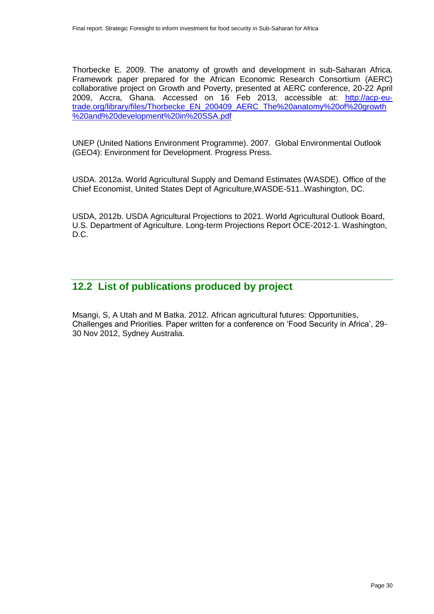Thorbecke E. 2009. The anatomy of growth and development in sub-Saharan Africa. Framework paper prepared for the African Economic Research Consortium (AERC) collaborative project on Growth and Poverty, presented at AERC conference, 20-22 April 2009, Accra, Ghana. Accessed on 16 Feb 2013, accessible at: [http://acp-eu](http://acp-eu-trade.org/library/files/Thorbecke_EN_200409_AERC_The%20anatomy%20of%20growth%20and%20development%20in%20SSA.pdf)[trade.org/library/files/Thorbecke\\_EN\\_200409\\_AERC\\_The%20anatomy%20of%20growth](http://acp-eu-trade.org/library/files/Thorbecke_EN_200409_AERC_The%20anatomy%20of%20growth%20and%20development%20in%20SSA.pdf) [%20and%20development%20in%20SSA.pdf](http://acp-eu-trade.org/library/files/Thorbecke_EN_200409_AERC_The%20anatomy%20of%20growth%20and%20development%20in%20SSA.pdf)

UNEP (United Nations Environment Programme). 2007. Global Environmental Outlook (GEO4): Environment for Development. Progress Press.

USDA. 2012a. World Agricultural Supply and Demand Estimates (WASDE). Office of the Chief Economist, United States Dept of Agriculture,WASDE-511..Washington, DC.

USDA, 2012b. USDA Agricultural Projections to 2021. World Agricultural Outlook Board, U.S. Department of Agriculture. Long-term Projections Report OCE-2012-1. Washington, D.C.

## <span id="page-29-0"></span>**12.2 List of publications produced by project**

Msangi, S, A Utah and M Batka. 2012. African agricultural futures: Opportunities, Challenges and Priorities. Paper written for a conference on 'Food Security in Africa', 29- 30 Nov 2012, Sydney Australia.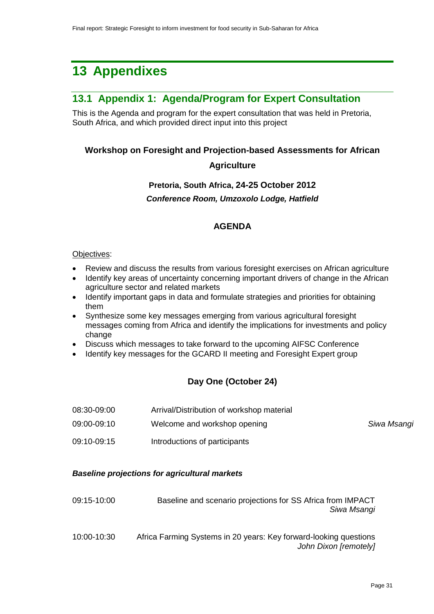# <span id="page-30-0"></span>**13 Appendixes**

## <span id="page-30-1"></span>**13.1 Appendix 1: Agenda/Program for Expert Consultation**

This is the Agenda and program for the expert consultation that was held in Pretoria, South Africa, and which provided direct input into this project

## **Workshop on Foresight and Projection-based Assessments for African**

## **Agriculture**

**Pretoria, South Africa, 24-25 October 2012**  *Conference Room, Umzoxolo Lodge, Hatfield*

## **AGENDA**

## Objectives:

- Review and discuss the results from various foresight exercises on African agriculture
- Identify key areas of uncertainty concerning important drivers of change in the African agriculture sector and related markets
- Identify important gaps in data and formulate strategies and priorities for obtaining them
- Synthesize some key messages emerging from various agricultural foresight messages coming from Africa and identify the implications for investments and policy change
- Discuss which messages to take forward to the upcoming AIFSC Conference
- Identify key messages for the GCARD II meeting and Foresight Expert group

## **Day One (October 24)**

- 08:30-09:00 Arrival/Distribution of workshop material
- 09:00-09:10 Welcome and workshop opening *Siwa Msangi*

09:10-09:15 Introductions of participants

## *Baseline projections for agricultural markets*

| 09:15-10:00 | Baseline and scenario projections for SS Africa from IMPACT |
|-------------|-------------------------------------------------------------|
|             | Siwa Msangi                                                 |
|             |                                                             |

10:00-10:30 Africa Farming Systems in 20 years: Key forward-looking questions *John Dixon [remotely]*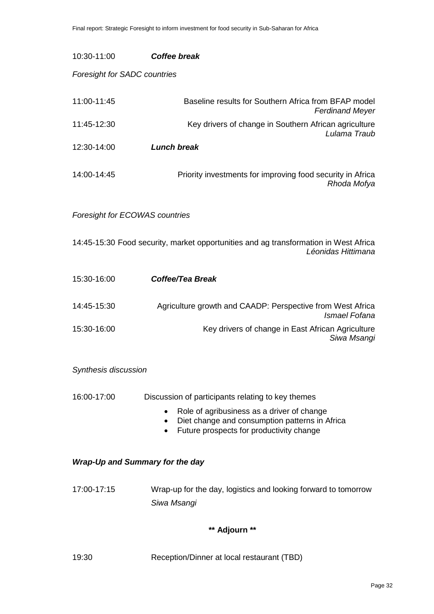| 10:30-11:00                            | <b>Coffee break</b>                                                                                                                                   |  |  |
|----------------------------------------|-------------------------------------------------------------------------------------------------------------------------------------------------------|--|--|
| <b>Foresight for SADC countries</b>    |                                                                                                                                                       |  |  |
| 11:00-11:45                            | Baseline results for Southern Africa from BFAP model<br><b>Ferdinand Meyer</b>                                                                        |  |  |
| 11:45-12:30                            | Key drivers of change in Southern African agriculture<br>Lulama Traub                                                                                 |  |  |
| 12:30-14:00                            | <b>Lunch break</b>                                                                                                                                    |  |  |
| 14:00-14:45                            | Priority investments for improving food security in Africa<br>Rhoda Mofya                                                                             |  |  |
| <b>Foresight for ECOWAS countries</b>  |                                                                                                                                                       |  |  |
|                                        | 14:45-15:30 Food security, market opportunities and ag transformation in West Africa<br>Léonidas Hittimana                                            |  |  |
| 15:30-16:00                            | <b>Coffee/Tea Break</b>                                                                                                                               |  |  |
| 14:45-15:30                            | Agriculture growth and CAADP: Perspective from West Africa<br><b>Ismael Fofana</b>                                                                    |  |  |
| 15:30-16:00                            | Key drivers of change in East African Agriculture<br>Siwa Msangi                                                                                      |  |  |
| Synthesis discussion                   |                                                                                                                                                       |  |  |
| 16:00-17:00                            | Discussion of participants relating to key themes                                                                                                     |  |  |
|                                        | Role of agribusiness as a driver of change<br>Diet change and consumption patterns in Africa<br>Future prospects for productivity change<br>$\bullet$ |  |  |
| <b>Wrap-Up and Summary for the day</b> |                                                                                                                                                       |  |  |
| 17:00-17:15                            | Wrap-up for the day, logistics and looking forward to tomorrow<br>Siwa Msangi                                                                         |  |  |
|                                        | ** Adjourn **                                                                                                                                         |  |  |

19:30 Reception/Dinner at local restaurant (TBD)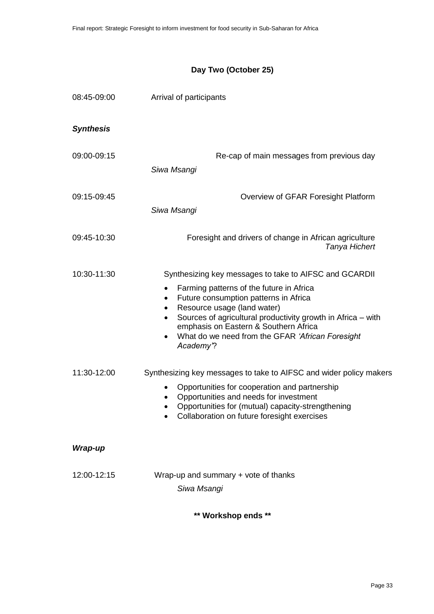## **Day Two (October 25)**

| 08:45-09:00      | Arrival of participants                                                                                                                                                                                                                                                                                                                                   |  |  |
|------------------|-----------------------------------------------------------------------------------------------------------------------------------------------------------------------------------------------------------------------------------------------------------------------------------------------------------------------------------------------------------|--|--|
| <b>Synthesis</b> |                                                                                                                                                                                                                                                                                                                                                           |  |  |
| 09:00-09:15      | Re-cap of main messages from previous day<br>Siwa Msangi                                                                                                                                                                                                                                                                                                  |  |  |
| 09:15-09:45      | Overview of GFAR Foresight Platform<br>Siwa Msangi                                                                                                                                                                                                                                                                                                        |  |  |
| 09:45-10:30      | Foresight and drivers of change in African agriculture<br>Tanya Hichert                                                                                                                                                                                                                                                                                   |  |  |
| 10:30-11:30      | Synthesizing key messages to take to AIFSC and GCARDII<br>Farming patterns of the future in Africa<br>Future consumption patterns in Africa<br>٠<br>Resource usage (land water)<br>Sources of agricultural productivity growth in Africa - with<br>emphasis on Eastern & Southern Africa<br>What do we need from the GFAR 'African Foresight<br>Academy"? |  |  |
| 11:30-12:00      | Synthesizing key messages to take to AIFSC and wider policy makers<br>Opportunities for cooperation and partnership<br>$\bullet$<br>Opportunities and needs for investment<br>٠<br>Opportunities for (mutual) capacity-strengthening<br>Collaboration on future foresight exercises                                                                       |  |  |
| Wrap-up          |                                                                                                                                                                                                                                                                                                                                                           |  |  |
| 12:00-12:15      | Wrap-up and summary + vote of thanks<br>Siwa Msangi                                                                                                                                                                                                                                                                                                       |  |  |

**\*\* Workshop ends \*\***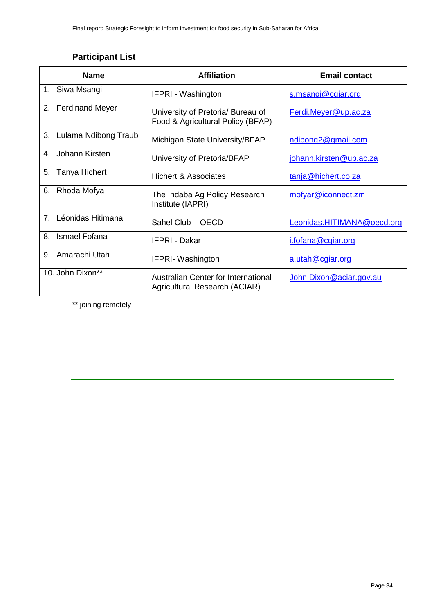## **Participant List**

| <b>Name</b>                         | <b>Affiliation</b>                                                     | <b>Email contact</b>       |
|-------------------------------------|------------------------------------------------------------------------|----------------------------|
| 1. Siwa Msangi                      | <b>IFPRI</b> - Washington                                              | s.msangi@cgiar.org         |
| 2. Ferdinand Meyer                  | University of Pretoria/ Bureau of<br>Food & Agricultural Policy (BFAP) | Ferdi.Meyer@up.ac.za       |
| 3. Lulama Ndibong Traub             | Michigan State University/BFAP                                         | ndibong2@gmail.com         |
| Johann Kirsten<br>$4_{\cdot}$       | University of Pretoria/BFAP                                            | johann.kirsten@up.ac.za    |
| 5.<br><b>Tanya Hichert</b>          | Hichert & Associates                                                   | tanja@hichert.co.za        |
| 6.<br>Rhoda Mofya                   | The Indaba Ag Policy Research<br>Institute (IAPRI)                     | mofyar@iconnect.zm         |
| Léonidas Hitimana<br>7 <sup>1</sup> | Sahel Club - OECD                                                      | Leonidas.HITIMANA@oecd.org |
| <b>Ismael Fofana</b><br>8.          | <b>IFPRI - Dakar</b>                                                   | i.fofana@cgiar.org         |
| Amarachi Utah<br>9.                 | IFPRI-Washington                                                       | a.utah@cgiar.org           |
| 10. John Dixon**                    | Australian Center for International<br>Agricultural Research (ACIAR)   | John.Dixon@aciar.gov.au    |

\*\* joining remotely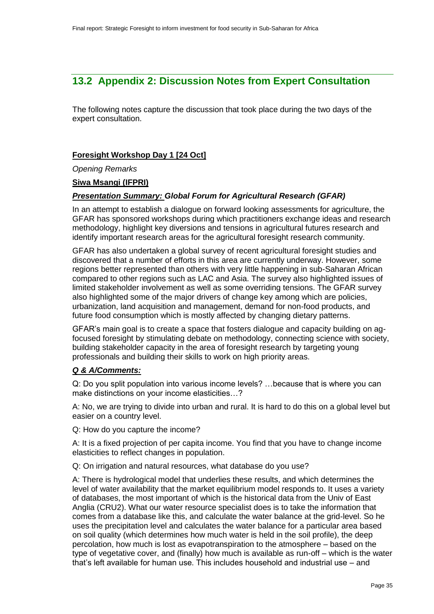## <span id="page-34-0"></span>**13.2 Appendix 2: Discussion Notes from Expert Consultation**

The following notes capture the discussion that took place during the two days of the expert consultation.

## **Foresight Workshop Day 1 [24 Oct]**

*Opening Remarks*

## **Siwa Msangi (IFPRI)**

## *Presentation Summary: Global Forum for Agricultural Research (GFAR)*

In an attempt to establish a dialogue on forward looking assessments for agriculture, the GFAR has sponsored workshops during which practitioners exchange ideas and research methodology, highlight key diversions and tensions in agricultural futures research and identify important research areas for the agricultural foresight research community.

GFAR has also undertaken a global survey of recent agricultural foresight studies and discovered that a number of efforts in this area are currently underway. However, some regions better represented than others with very little happening in sub-Saharan African compared to other regions such as LAC and Asia. The survey also highlighted issues of limited stakeholder involvement as well as some overriding tensions. The GFAR survey also highlighted some of the major drivers of change key among which are policies, urbanization, land acquisition and management, demand for non-food products, and future food consumption which is mostly affected by changing dietary patterns.

GFAR's main goal is to create a space that fosters dialogue and capacity building on agfocused foresight by stimulating debate on methodology, connecting science with society, building stakeholder capacity in the area of foresight research by targeting young professionals and building their skills to work on high priority areas.

## *Q & A/Comments:*

Q: Do you split population into various income levels? …because that is where you can make distinctions on your income elasticities…?

A: No, we are trying to divide into urban and rural. It is hard to do this on a global level but easier on a country level.

Q: How do you capture the income?

A: It is a fixed projection of per capita income. You find that you have to change income elasticities to reflect changes in population.

Q: On irrigation and natural resources, what database do you use?

A: There is hydrological model that underlies these results, and which determines the level of water availability that the market equilibrium model responds to. It uses a variety of databases, the most important of which is the historical data from the Univ of East Anglia (CRU2). What our water resource specialist does is to take the information that comes from a database like this, and calculate the water balance at the grid-level. So he uses the precipitation level and calculates the water balance for a particular area based on soil quality (which determines how much water is held in the soil profile), the deep percolation, how much is lost as evapotranspiration to the atmosphere – based on the type of vegetative cover, and (finally) how much is available as run-off – which is the water that's left available for human use. This includes household and industrial use – and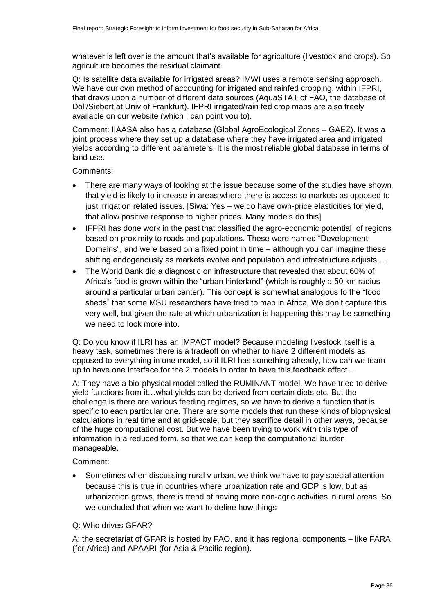whatever is left over is the amount that's available for agriculture (livestock and crops). So agriculture becomes the residual claimant.

Q: Is satellite data available for irrigated areas? IMWI uses a remote sensing approach. We have our own method of accounting for irrigated and rainfed cropping, within IFPRI, that draws upon a number of different data sources (AquaSTAT of FAO, the database of Döll/Siebert at Univ of Frankfurt). IFPRI irrigated/rain fed crop maps are also freely available on our website (which I can point you to).

Comment: IIAASA also has a database (Global AgroEcological Zones – GAEZ). It was a joint process where they set up a database where they have irrigated area and irrigated yields according to different parameters. It is the most reliable global database in terms of land use.

Comments:

- There are many ways of looking at the issue because some of the studies have shown that yield is likely to increase in areas where there is access to markets as opposed to just irrigation related issues. [Siwa: Yes – we do have own-price elasticities for yield, that allow positive response to higher prices. Many models do this]
- IFPRI has done work in the past that classified the agro-economic potential of regions based on proximity to roads and populations. These were named "Development Domains", and were based on a fixed point in time – although you can imagine these shifting endogenously as markets evolve and population and infrastructure adjusts….
- The World Bank did a diagnostic on infrastructure that revealed that about 60% of Africa's food is grown within the "urban hinterland" (which is roughly a 50 km radius around a particular urban center). This concept is somewhat analogous to the "food sheds" that some MSU researchers have tried to map in Africa. We don't capture this very well, but given the rate at which urbanization is happening this may be something we need to look more into.

Q: Do you know if ILRI has an IMPACT model? Because modeling livestock itself is a heavy task, sometimes there is a tradeoff on whether to have 2 different models as opposed to everything in one model, so if ILRI has something already, how can we team up to have one interface for the 2 models in order to have this feedback effect…

A: They have a bio-physical model called the RUMINANT model. We have tried to derive yield functions from it…what yields can be derived from certain diets etc. But the challenge is there are various feeding regimes, so we have to derive a function that is specific to each particular one. There are some models that run these kinds of biophysical calculations in real time and at grid-scale, but they sacrifice detail in other ways, because of the huge computational cost. But we have been trying to work with this type of information in a reduced form, so that we can keep the computational burden manageable.

Comment:

 Sometimes when discussing rural v urban, we think we have to pay special attention because this is true in countries where urbanization rate and GDP is low, but as urbanization grows, there is trend of having more non-agric activities in rural areas. So we concluded that when we want to define how things

## Q: Who drives GFAR?

A: the secretariat of GFAR is hosted by FAO, and it has regional components – like FARA (for Africa) and APAARI (for Asia & Pacific region).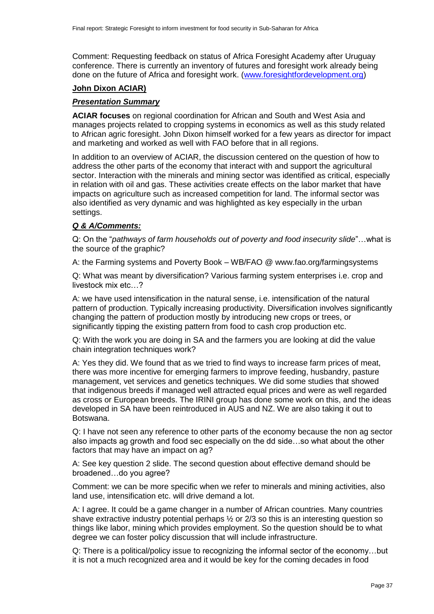Comment: Requesting feedback on status of Africa Foresight Academy after Uruguay conference. There is currently an inventory of futures and foresight work already being done on the future of Africa and foresight work. [\(www.foresightfordevelopment.org\)](http://www.foresightfordevelopment.org/)

## **John Dixon ACIAR)**

## *Presentation Summary*

**ACIAR focuses** on regional coordination for African and South and West Asia and manages projects related to cropping systems in economics as well as this study related to African agric foresight. John Dixon himself worked for a few years as director for impact and marketing and worked as well with FAO before that in all regions.

In addition to an overview of ACIAR, the discussion centered on the question of how to address the other parts of the economy that interact with and support the agricultural sector. Interaction with the minerals and mining sector was identified as critical, especially in relation with oil and gas. These activities create effects on the labor market that have impacts on agriculture such as increased competition for land. The informal sector was also identified as very dynamic and was highlighted as key especially in the urban settings.

## *Q & A/Comments:*

Q: On the "*pathways of farm households out of poverty and food insecurity slide*"…what is the source of the graphic?

A: the Farming systems and Poverty Book – WB/FAO @ www.fao.org/farmingsystems

Q: What was meant by diversification? Various farming system enterprises i.e. crop and livestock mix etc…?

A: we have used intensification in the natural sense, i.e. intensification of the natural pattern of production. Typically increasing productivity. Diversification involves significantly changing the pattern of production mostly by introducing new crops or trees, or significantly tipping the existing pattern from food to cash crop production etc.

Q: With the work you are doing in SA and the farmers you are looking at did the value chain integration techniques work?

A: Yes they did. We found that as we tried to find ways to increase farm prices of meat, there was more incentive for emerging farmers to improve feeding, husbandry, pasture management, vet services and genetics techniques. We did some studies that showed that indigenous breeds if managed well attracted equal prices and were as well regarded as cross or European breeds. The IRINI group has done some work on this, and the ideas developed in SA have been reintroduced in AUS and NZ. We are also taking it out to Botswana.

Q: I have not seen any reference to other parts of the economy because the non ag sector also impacts ag growth and food sec especially on the dd side…so what about the other factors that may have an impact on ag?

A: See key question 2 slide. The second question about effective demand should be broadened…do you agree?

Comment: we can be more specific when we refer to minerals and mining activities, also land use, intensification etc. will drive demand a lot.

A: I agree. It could be a game changer in a number of African countries. Many countries shave extractive industry potential perhaps  $\frac{1}{2}$  or 2/3 so this is an interesting question so things like labor, mining which provides employment. So the question should be to what degree we can foster policy discussion that will include infrastructure.

Q: There is a political/policy issue to recognizing the informal sector of the economy…but it is not a much recognized area and it would be key for the coming decades in food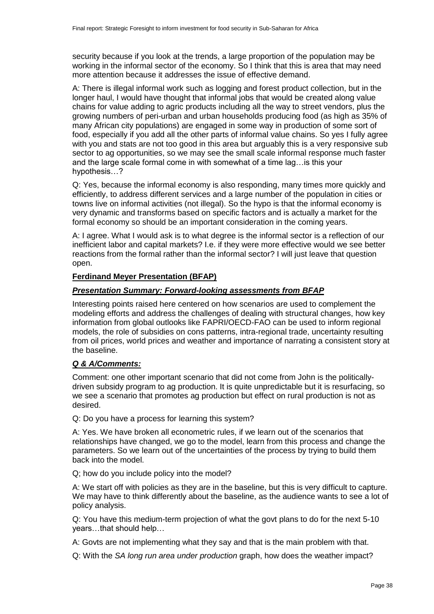security because if you look at the trends, a large proportion of the population may be working in the informal sector of the economy. So I think that this is area that may need more attention because it addresses the issue of effective demand.

A: There is illegal informal work such as logging and forest product collection, but in the longer haul, I would have thought that informal jobs that would be created along value chains for value adding to agric products including all the way to street vendors, plus the growing numbers of peri-urban and urban households producing food (as high as 35% of many African city populations) are engaged in some way in production of some sort of food, especially if you add all the other parts of informal value chains. So yes I fully agree with you and stats are not too good in this area but arguably this is a very responsive sub sector to ag opportunities, so we may see the small scale informal response much faster and the large scale formal come in with somewhat of a time lag…is this your hypothesis…?

Q: Yes, because the informal economy is also responding, many times more quickly and efficiently, to address different services and a large number of the population in cities or towns live on informal activities (not illegal). So the hypo is that the informal economy is very dynamic and transforms based on specific factors and is actually a market for the formal economy so should be an important consideration in the coming years.

A: I agree. What I would ask is to what degree is the informal sector is a reflection of our inefficient labor and capital markets? I.e. if they were more effective would we see better reactions from the formal rather than the informal sector? I will just leave that question open.

#### **Ferdinand Meyer Presentation (BFAP)**

## *Presentation Summary: Forward-looking assessments from BFAP*

Interesting points raised here centered on how scenarios are used to complement the modeling efforts and address the challenges of dealing with structural changes, how key information from global outlooks like FAPRI/OECD-FAO can be used to inform regional models, the role of subsidies on cons patterns, intra-regional trade, uncertainty resulting from oil prices, world prices and weather and importance of narrating a consistent story at the baseline.

## *Q & A/Comments:*

Comment: one other important scenario that did not come from John is the politicallydriven subsidy program to ag production. It is quite unpredictable but it is resurfacing, so we see a scenario that promotes ag production but effect on rural production is not as desired.

Q: Do you have a process for learning this system?

A: Yes. We have broken all econometric rules, if we learn out of the scenarios that relationships have changed, we go to the model, learn from this process and change the parameters. So we learn out of the uncertainties of the process by trying to build them back into the model.

Q; how do you include policy into the model?

A: We start off with policies as they are in the baseline, but this is very difficult to capture. We may have to think differently about the baseline, as the audience wants to see a lot of policy analysis.

Q: You have this medium-term projection of what the govt plans to do for the next 5-10 years…that should help…

A: Govts are not implementing what they say and that is the main problem with that.

Q: With the *SA long run area under production* graph, how does the weather impact?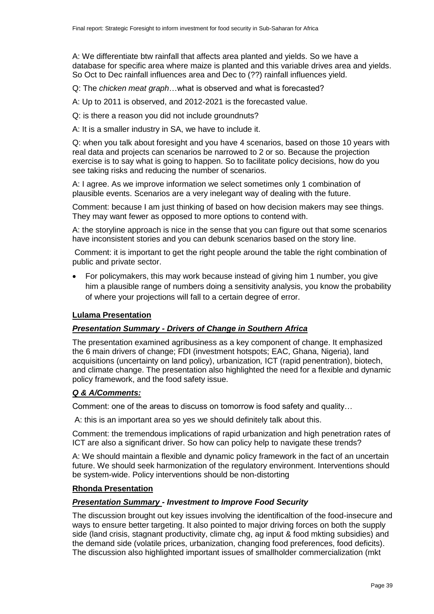A: We differentiate btw rainfall that affects area planted and yields. So we have a database for specific area where maize is planted and this variable drives area and yields. So Oct to Dec rainfall influences area and Dec to (??) rainfall influences yield.

Q: The *chicken meat graph*…what is observed and what is forecasted?

A: Up to 2011 is observed, and 2012-2021 is the forecasted value.

Q: is there a reason you did not include groundnuts?

A: It is a smaller industry in SA, we have to include it.

Q: when you talk about foresight and you have 4 scenarios, based on those 10 years with real data and projects can scenarios be narrowed to 2 or so. Because the projection exercise is to say what is going to happen. So to facilitate policy decisions, how do you see taking risks and reducing the number of scenarios.

A: I agree. As we improve information we select sometimes only 1 combination of plausible events. Scenarios are a very inelegant way of dealing with the future.

Comment: because I am just thinking of based on how decision makers may see things. They may want fewer as opposed to more options to contend with.

A: the storyline approach is nice in the sense that you can figure out that some scenarios have inconsistent stories and you can debunk scenarios based on the story line.

Comment: it is important to get the right people around the table the right combination of public and private sector.

 For policymakers, this may work because instead of giving him 1 number, you give him a plausible range of numbers doing a sensitivity analysis, you know the probability of where your projections will fall to a certain degree of error.

#### **Lulama Presentation**

#### *Presentation Summary - Drivers of Change in Southern Africa*

The presentation examined agribusiness as a key component of change. It emphasized the 6 main drivers of change; FDI (investment hotspots; EAC, Ghana, Nigeria), land acquisitions (uncertainty on land policy), urbanization*,* ICT (rapid penentration), biotech, and climate change. The presentation also highlighted the need for a flexible and dynamic policy framework, and the food safety issue.

#### *Q & A/Comments:*

Comment: one of the areas to discuss on tomorrow is food safety and quality…

A: this is an important area so yes we should definitely talk about this.

Comment: the tremendous implications of rapid urbanization and high penetration rates of ICT are also a significant driver. So how can policy help to navigate these trends?

A: We should maintain a flexible and dynamic policy framework in the fact of an uncertain future. We should seek harmonization of the regulatory environment. Interventions should be system-wide. Policy interventions should be non-distorting

#### **Rhonda Presentation**

#### *Presentation Summary - Investment to Improve Food Security*

The discussion brought out key issues involving the identificaltion of the food-insecure and ways to ensure better targeting. It also pointed to major driving forces on both the supply side (land crisis, stagnant productivity, climate chg, ag input & food mkting subsidies) and the demand side (volatile prices, urbanization, changing food preferences, food deficits). The discussion also highlighted important issues of smallholder commercialization (mkt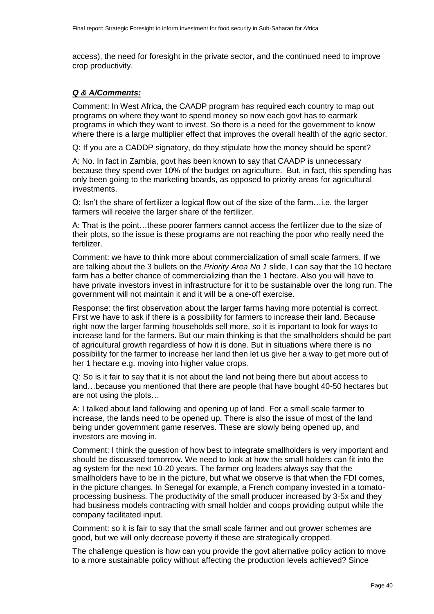access), the need for foresight in the private sector, and the continued need to improve crop productivity.

## *Q & A/Comments:*

Comment: In West Africa, the CAADP program has required each country to map out programs on where they want to spend money so now each govt has to earmark programs in which they want to invest. So there is a need for the government to know where there is a large multiplier effect that improves the overall health of the agric sector.

Q: If you are a CADDP signatory, do they stipulate how the money should be spent?

A: No. In fact in Zambia, govt has been known to say that CAADP is unnecessary because they spend over 10% of the budget on agriculture. But, in fact, this spending has only been going to the marketing boards, as opposed to priority areas for agricultural investments.

Q: Isn't the share of fertilizer a logical flow out of the size of the farm…i.e. the larger farmers will receive the larger share of the fertilizer.

A: That is the point…these poorer farmers cannot access the fertilizer due to the size of their plots, so the issue is these programs are not reaching the poor who really need the fertilizer.

Comment: we have to think more about commercialization of small scale farmers. If we are talking about the 3 bullets on the *Priority Area No 1* slide, I can say that the 10 hectare farm has a better chance of commercializing than the 1 hectare. Also you will have to have private investors invest in infrastructure for it to be sustainable over the long run. The government will not maintain it and it will be a one-off exercise.

Response: the first observation about the larger farms having more potential is correct. First we have to ask if there is a possibility for farmers to increase their land. Because right now the larger farming households sell more, so it is important to look for ways to increase land for the farmers. But our main thinking is that the smallholders should be part of agricultural growth regardless of how it is done. But in situations where there is no possibility for the farmer to increase her land then let us give her a way to get more out of her 1 hectare e.g. moving into higher value crops.

Q: So is it fair to say that it is not about the land not being there but about access to land…because you mentioned that there are people that have bought 40-50 hectares but are not using the plots…

A: I talked about land fallowing and opening up of land. For a small scale farmer to increase, the lands need to be opened up. There is also the issue of most of the land being under government game reserves. These are slowly being opened up, and investors are moving in.

Comment: I think the question of how best to integrate smallholders is very important and should be discussed tomorrow. We need to look at how the small holders can fit into the ag system for the next 10-20 years. The farmer org leaders always say that the smallholders have to be in the picture, but what we observe is that when the FDI comes, in the picture changes. In Senegal for example, a French company invested in a tomatoprocessing business. The productivity of the small producer increased by 3-5x and they had business models contracting with small holder and coops providing output while the company facilitated input.

Comment: so it is fair to say that the small scale farmer and out grower schemes are good, but we will only decrease poverty if these are strategically cropped.

The challenge question is how can you provide the govt alternative policy action to move to a more sustainable policy without affecting the production levels achieved? Since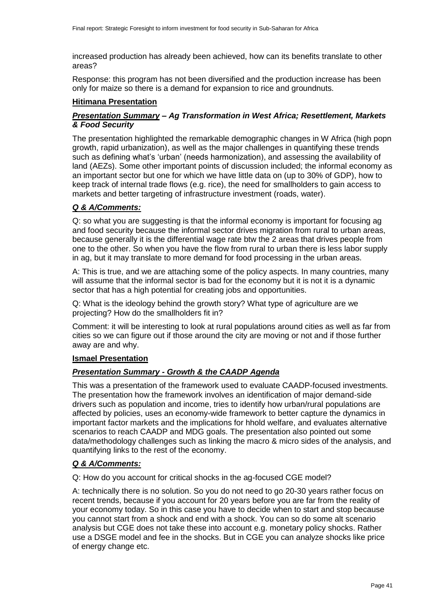increased production has already been achieved, how can its benefits translate to other areas?

Response: this program has not been diversified and the production increase has been only for maize so there is a demand for expansion to rice and groundnuts.

## **Hitimana Presentation**

## *Presentation Summary – Ag Transformation in West Africa; Resettlement, Markets & Food Security*

The presentation highlighted the remarkable demographic changes in W Africa (high popn growth, rapid urbanization), as well as the major challenges in quantifying these trends such as defining what's 'urban' (needs harmonization), and assessing the availability of land (AEZs). Some other important points of discussion included; the informal economy as an important sector but one for which we have little data on (up to 30% of GDP), how to keep track of internal trade flows (e.g. rice), the need for smallholders to gain access to markets and better targeting of infrastructure investment (roads, water).

## *Q & A/Comments:*

Q: so what you are suggesting is that the informal economy is important for focusing ag and food security because the informal sector drives migration from rural to urban areas, because generally it is the differential wage rate btw the 2 areas that drives people from one to the other. So when you have the flow from rural to urban there is less labor supply in ag, but it may translate to more demand for food processing in the urban areas.

A: This is true, and we are attaching some of the policy aspects. In many countries, many will assume that the informal sector is bad for the economy but it is not it is a dynamic sector that has a high potential for creating jobs and opportunities.

Q: What is the ideology behind the growth story? What type of agriculture are we projecting? How do the smallholders fit in?

Comment: it will be interesting to look at rural populations around cities as well as far from cities so we can figure out if those around the city are moving or not and if those further away are and why.

## **Ismael Presentation**

## *Presentation Summary - Growth & the CAADP Agenda*

This was a presentation of the framework used to evaluate CAADP-focused investments. The presentation how the framework involves an identification of major demand-side drivers such as population and income, tries to identify how urban/rural populations are affected by policies, uses an economy-wide framework to better capture the dynamics in important factor markets and the implications for hhold welfare, and evaluates alternative scenarios to reach CAADP and MDG goals. The presentation also pointed out some data/methodology challenges such as linking the macro & micro sides of the analysis, and quantifying links to the rest of the economy.

## *Q & A/Comments:*

Q: How do you account for critical shocks in the ag-focused CGE model?

A: technically there is no solution. So you do not need to go 20-30 years rather focus on recent trends, because if you account for 20 years before you are far from the reality of your economy today. So in this case you have to decide when to start and stop because you cannot start from a shock and end with a shock. You can so do some alt scenario analysis but CGE does not take these into account e.g. monetary policy shocks. Rather use a DSGE model and fee in the shocks. But in CGE you can analyze shocks like price of energy change etc.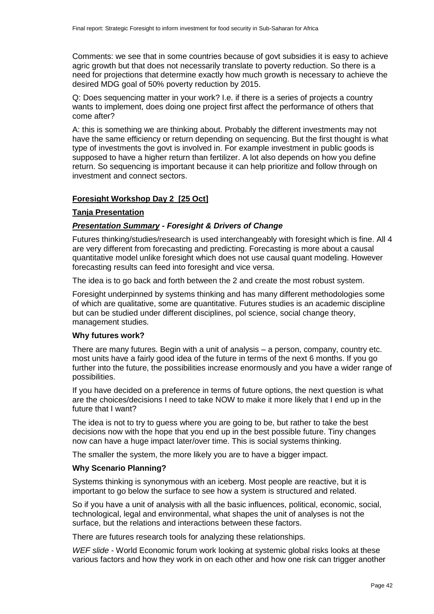Comments: we see that in some countries because of govt subsidies it is easy to achieve agric growth but that does not necessarily translate to poverty reduction. So there is a need for projections that determine exactly how much growth is necessary to achieve the desired MDG goal of 50% poverty reduction by 2015.

Q: Does sequencing matter in your work? I.e. if there is a series of projects a country wants to implement, does doing one project first affect the performance of others that come after?

A: this is something we are thinking about. Probably the different investments may not have the same efficiency or return depending on sequencing. But the first thought is what type of investments the govt is involved in. For example investment in public goods is supposed to have a higher return than fertilizer. A lot also depends on how you define return. So sequencing is important because it can help prioritize and follow through on investment and connect sectors.

## **Foresight Workshop Day 2 [25 Oct]**

#### **Tanja Presentation**

#### *Presentation Summary - Foresight & Drivers of Change*

Futures thinking/studies/research is used interchangeably with foresight which is fine. All 4 are very different from forecasting and predicting. Forecasting is more about a causal quantitative model unlike foresight which does not use causal quant modeling. However forecasting results can feed into foresight and vice versa.

The idea is to go back and forth between the 2 and create the most robust system.

Foresight underpinned by systems thinking and has many different methodologies some of which are qualitative, some are quantitative. Futures studies is an academic discipline but can be studied under different disciplines, pol science, social change theory, management studies.

## **Why futures work?**

There are many futures. Begin with a unit of analysis – a person, company, country etc. most units have a fairly good idea of the future in terms of the next 6 months. If you go further into the future, the possibilities increase enormously and you have a wider range of possibilities.

If you have decided on a preference in terms of future options, the next question is what are the choices/decisions I need to take NOW to make it more likely that I end up in the future that I want?

The idea is not to try to guess where you are going to be, but rather to take the best decisions now with the hope that you end up in the best possible future. Tiny changes now can have a huge impact later/over time. This is social systems thinking.

The smaller the system, the more likely you are to have a bigger impact.

#### **Why Scenario Planning?**

Systems thinking is synonymous with an iceberg. Most people are reactive, but it is important to go below the surface to see how a system is structured and related.

So if you have a unit of analysis with all the basic influences, political, economic, social, technological, legal and environmental, what shapes the unit of analyses is not the surface, but the relations and interactions between these factors.

There are futures research tools for analyzing these relationships.

*WEF slide* - World Economic forum work looking at systemic global risks looks at these various factors and how they work in on each other and how one risk can trigger another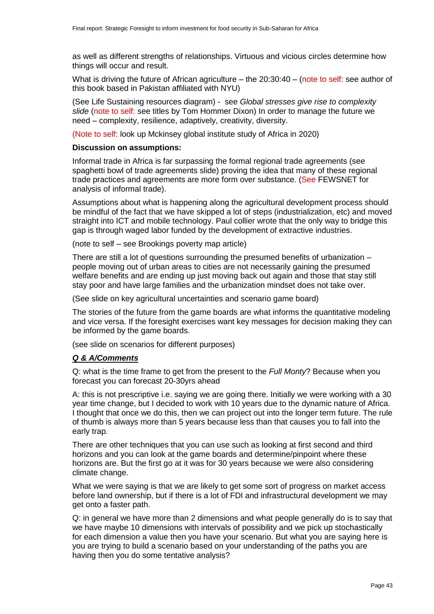as well as different strengths of relationships. Virtuous and vicious circles determine how things will occur and result.

What is driving the future of African agriculture – the 20:30:40 – (note to self: see author of this book based in Pakistan affiliated with NYU)

(See Life Sustaining resources diagram) - see *Global stresses give rise to complexity slide* (note to self: see titles by Tom Hommer Dixon) In order to manage the future we need – complexity, resilience, adaptively, creativity, diversity.

(Note to self: look up Mckinsey global institute study of Africa in 2020)

#### **Discussion on assumptions:**

Informal trade in Africa is far surpassing the formal regional trade agreements (see spaghetti bowl of trade agreements slide) proving the idea that many of these regional trade practices and agreements are more form over substance. (See FEWSNET for analysis of informal trade).

Assumptions about what is happening along the agricultural development process should be mindful of the fact that we have skipped a lot of steps (industrialization, etc) and moved straight into ICT and mobile technology. Paul collier wrote that the only way to bridge this gap is through waged labor funded by the development of extractive industries.

(note to self – see Brookings poverty map article)

There are still a lot of questions surrounding the presumed benefits of urbanization – people moving out of urban areas to cities are not necessarily gaining the presumed welfare benefits and are ending up just moving back out again and those that stay still stay poor and have large families and the urbanization mindset does not take over.

(See slide on key agricultural uncertainties and scenario game board)

The stories of the future from the game boards are what informs the quantitative modeling and vice versa. If the foresight exercises want key messages for decision making they can be informed by the game boards.

(see slide on scenarios for different purposes)

#### *Q & A/Comments*

Q: what is the time frame to get from the present to the *Full Monty*? Because when you forecast you can forecast 20-30yrs ahead

A: this is not prescriptive i.e. saying we are going there. Initially we were working with a 30 year time change, but I decided to work with 10 years due to the dynamic nature of Africa. I thought that once we do this, then we can project out into the longer term future. The rule of thumb is always more than 5 years because less than that causes you to fall into the early trap.

There are other techniques that you can use such as looking at first second and third horizons and you can look at the game boards and determine/pinpoint where these horizons are. But the first go at it was for 30 years because we were also considering climate change.

What we were saying is that we are likely to get some sort of progress on market access before land ownership, but if there is a lot of FDI and infrastructural development we may get onto a faster path.

Q: in general we have more than 2 dimensions and what people generally do is to say that we have maybe 10 dimensions with intervals of possibility and we pick up stochastically for each dimension a value then you have your scenario. But what you are saying here is you are trying to build a scenario based on your understanding of the paths you are having then you do some tentative analysis?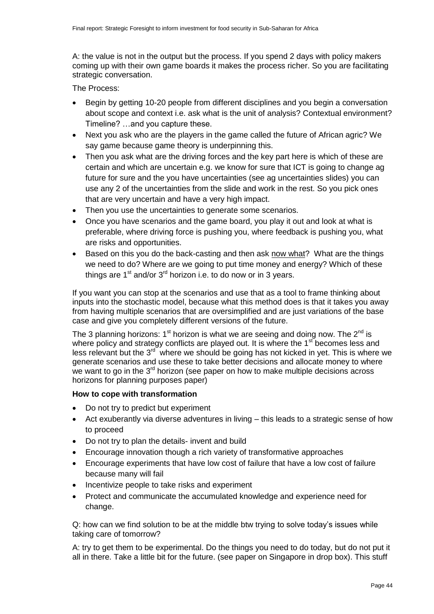A: the value is not in the output but the process. If you spend 2 days with policy makers coming up with their own game boards it makes the process richer. So you are facilitating strategic conversation.

The Process:

- Begin by getting 10-20 people from different disciplines and you begin a conversation about scope and context i.e. ask what is the unit of analysis? Contextual environment? Timeline? …and you capture these.
- Next you ask who are the players in the game called the future of African agric? We say game because game theory is underpinning this.
- Then you ask what are the driving forces and the key part here is which of these are certain and which are uncertain e.g. we know for sure that ICT is going to change ag future for sure and the you have uncertainties (see ag uncertainties slides) you can use any 2 of the uncertainties from the slide and work in the rest. So you pick ones that are very uncertain and have a very high impact.
- Then you use the uncertainties to generate some scenarios.
- Once you have scenarios and the game board, you play it out and look at what is preferable, where driving force is pushing you, where feedback is pushing you, what are risks and opportunities.
- Based on this you do the back-casting and then ask now what? What are the things we need to do? Where are we going to put time money and energy? Which of these things are  $1<sup>st</sup>$  and/or  $3<sup>rd</sup>$  horizon i.e. to do now or in 3 years.

If you want you can stop at the scenarios and use that as a tool to frame thinking about inputs into the stochastic model, because what this method does is that it takes you away from having multiple scenarios that are oversimplified and are just variations of the base case and give you completely different versions of the future.

The 3 planning horizons:  $1<sup>st</sup>$  horizon is what we are seeing and doing now. The  $2<sup>nd</sup>$  is where policy and strategy conflicts are played out. It is where the  $1<sup>st</sup>$  becomes less and less relevant but the  $3^{rd}$  where we should be going has not kicked in yet. This is where we generate scenarios and use these to take better decisions and allocate money to where we want to go in the  $3<sup>rd</sup>$  horizon (see paper on how to make multiple decisions across horizons for planning purposes paper)

## **How to cope with transformation**

- Do not try to predict but experiment
- Act exuberantly via diverse adventures in living this leads to a strategic sense of how to proceed
- Do not try to plan the details- invent and build
- Encourage innovation though a rich variety of transformative approaches
- Encourage experiments that have low cost of failure that have a low cost of failure because many will fail
- Incentivize people to take risks and experiment
- Protect and communicate the accumulated knowledge and experience need for change.

Q: how can we find solution to be at the middle btw trying to solve today's issues while taking care of tomorrow?

A: try to get them to be experimental. Do the things you need to do today, but do not put it all in there. Take a little bit for the future. (see paper on Singapore in drop box). This stuff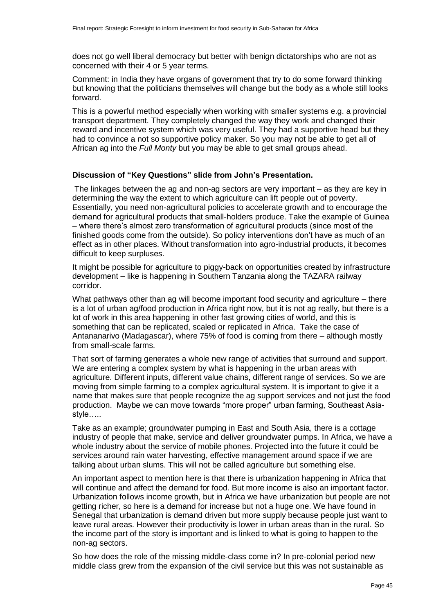does not go well liberal democracy but better with benign dictatorships who are not as concerned with their 4 or 5 year terms.

Comment: in India they have organs of government that try to do some forward thinking but knowing that the politicians themselves will change but the body as a whole still looks forward.

This is a powerful method especially when working with smaller systems e.g. a provincial transport department. They completely changed the way they work and changed their reward and incentive system which was very useful. They had a supportive head but they had to convince a not so supportive policy maker. So you may not be able to get all of African ag into the *Full Monty* but you may be able to get small groups ahead.

## **Discussion of "Key Questions" slide from John's Presentation.**

The linkages between the ag and non-ag sectors are very important – as they are key in determining the way the extent to which agriculture can lift people out of poverty. Essentially, you need non-agricultural policies to accelerate growth and to encourage the demand for agricultural products that small-holders produce. Take the example of Guinea – where there's almost zero transformation of agricultural products (since most of the finished goods come from the outside). So policy interventions don't have as much of an effect as in other places. Without transformation into agro-industrial products, it becomes difficult to keep surpluses.

It might be possible for agriculture to piggy-back on opportunities created by infrastructure development – like is happening in Southern Tanzania along the TAZARA railway corridor.

What pathways other than ag will become important food security and agriculture – there is a lot of urban ag/food production in Africa right now, but it is not ag really, but there is a lot of work in this area happening in other fast growing cities of world, and this is something that can be replicated, scaled or replicated in Africa. Take the case of Antananarivo (Madagascar), where 75% of food is coming from there – although mostly from small-scale farms.

That sort of farming generates a whole new range of activities that surround and support. We are entering a complex system by what is happening in the urban areas with agriculture. Different inputs, different value chains, different range of services. So we are moving from simple farming to a complex agricultural system. It is important to give it a name that makes sure that people recognize the ag support services and not just the food production. Maybe we can move towards "more proper" urban farming, Southeast Asiastyle…..

Take as an example; groundwater pumping in East and South Asia, there is a cottage industry of people that make, service and deliver groundwater pumps. In Africa, we have a whole industry about the service of mobile phones. Projected into the future it could be services around rain water harvesting, effective management around space if we are talking about urban slums. This will not be called agriculture but something else.

An important aspect to mention here is that there is urbanization happening in Africa that will continue and affect the demand for food. But more income is also an important factor. Urbanization follows income growth, but in Africa we have urbanization but people are not getting richer, so here is a demand for increase but not a huge one. We have found in Senegal that urbanization is demand driven but more supply because people just want to leave rural areas. However their productivity is lower in urban areas than in the rural. So the income part of the story is important and is linked to what is going to happen to the non-ag sectors.

So how does the role of the missing middle-class come in? In pre-colonial period new middle class grew from the expansion of the civil service but this was not sustainable as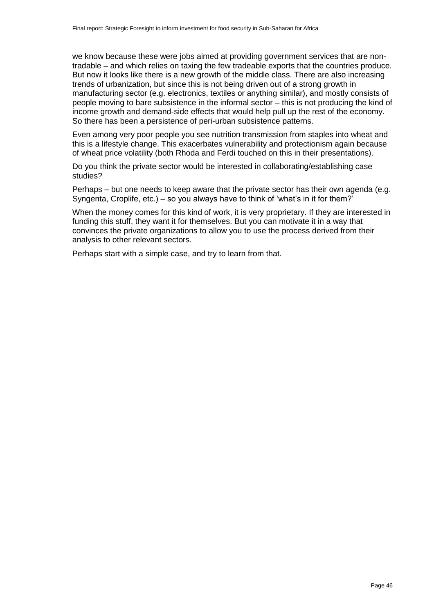we know because these were jobs aimed at providing government services that are nontradable – and which relies on taxing the few tradeable exports that the countries produce. But now it looks like there is a new growth of the middle class. There are also increasing trends of urbanization, but since this is not being driven out of a strong growth in manufacturing sector (e.g. electronics, textiles or anything similar), and mostly consists of people moving to bare subsistence in the informal sector – this is not producing the kind of income growth and demand-side effects that would help pull up the rest of the economy. So there has been a persistence of peri-urban subsistence patterns.

Even among very poor people you see nutrition transmission from staples into wheat and this is a lifestyle change. This exacerbates vulnerability and protectionism again because of wheat price volatility (both Rhoda and Ferdi touched on this in their presentations).

Do you think the private sector would be interested in collaborating/establishing case studies?

Perhaps – but one needs to keep aware that the private sector has their own agenda (e.g. Syngenta, Croplife, etc.) – so you always have to think of 'what's in it for them?'

When the money comes for this kind of work, it is very proprietary. If they are interested in funding this stuff, they want it for themselves. But you can motivate it in a way that convinces the private organizations to allow you to use the process derived from their analysis to other relevant sectors.

Perhaps start with a simple case, and try to learn from that.